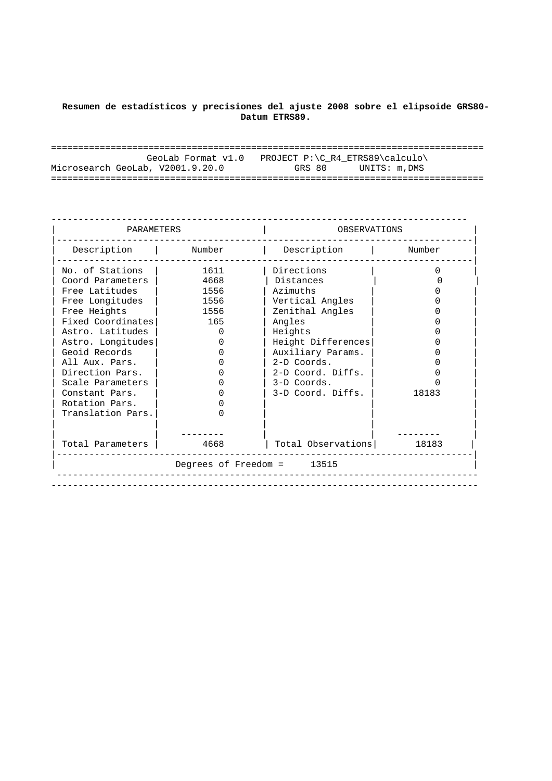## **Resumen de estadísticos y precisiones del ajuste 2008 sobre el elipsoide GRS80- Datum ETRS89.**

| GeoLab Format v1.0               | PROJECT P:\C R4 ETRS89\calculo\ |
|----------------------------------|---------------------------------|
| Microsearch GeoLab, V2001.9.20.0 | GRS 80<br>UNITS: m.DMS          |
|                                  |                                 |

| PARAMETERS        |              | OBSERVATIONS               |          |  |
|-------------------|--------------|----------------------------|----------|--|
| Description       | Number       | Description                | Number   |  |
| No. of Stations   | 1611         | Directions                 | $\Omega$ |  |
| Coord Parameters  | 4668         | Distances                  |          |  |
| Free Latitudes    | 1556         | Azimuths                   |          |  |
| Free Longitudes   | 1556         | Vertical Angles            |          |  |
| Free Heights      | 1556         | Zenithal Angles            |          |  |
| Fixed Coordinates | 165          | Angles                     |          |  |
| Astro, Latitudes  | <sup>0</sup> | Heights                    |          |  |
| Astro. Longitudes | U            | Height Differences         |          |  |
| Geoid Records     | O            | Auxiliary Params.          |          |  |
| All Aux. Pars.    |              | $2-D$ Coords.              |          |  |
| Direction Pars.   |              | 2-D Coord. Diffs.          |          |  |
| Scale Parameters  |              | 3-D Coords.                |          |  |
| Constant Pars.    | U            | 3-D Coord. Diffs.          | 18183    |  |
| Rotation Pars.    |              |                            |          |  |
| Translation Pars. | Ω            |                            |          |  |
|                   |              |                            |          |  |
| Total Parameters  | 4668         | Total Observations         | 18183    |  |
|                   |              | Degrees of Freedom = 13515 |          |  |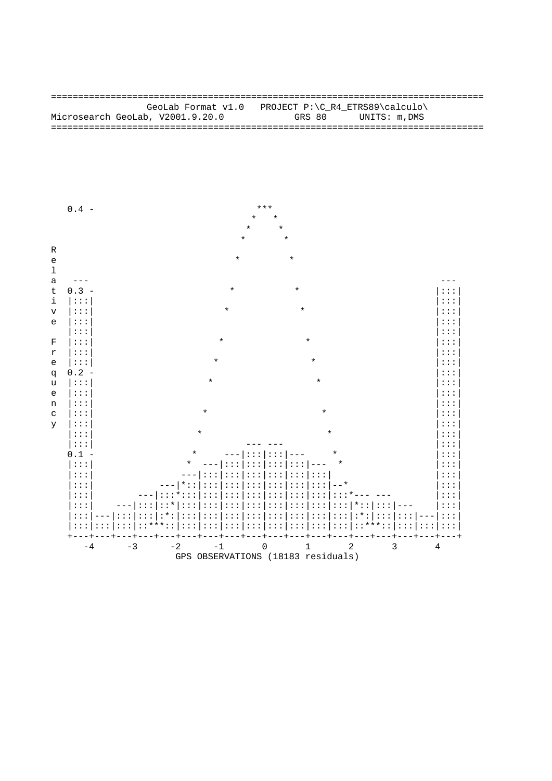GeoLab Format v1.0 PROJECT P:\C\_R4\_ETRS89\calculo\ Microsearch GeoLab, V2001.9.20.0 GRS 80 UNITS: m, DMS 

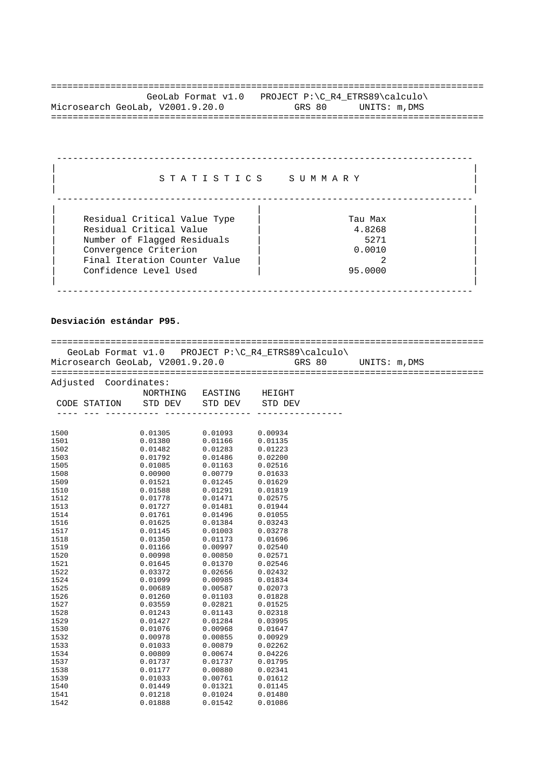================================================================================ GeoLab Format v1.0 PROJECT P:\C\_R4\_ETRS89\calculo\ Microsearch GeoLab, V2001.9.20.0 GRS 80 UNITS: m, DMS ================================================================================

| STATISTICS                                                                                                                                                                | SUMMARY                                        |
|---------------------------------------------------------------------------------------------------------------------------------------------------------------------------|------------------------------------------------|
| Residual Critical Value Type<br>Residual Critical Value<br>Number of Flagged Residuals<br>Convergence Criterion<br>Final Iteration Counter Value<br>Confidence Level Used | Tau Max<br>4.8268<br>5271<br>0.0010<br>95.0000 |

## **Desviación estándar P95.**

| GeoLab Format v1.0 PROJECT P:\C_R4_ETRS89\calculo\ |                                                                                                                                                                                                                                                                   |                                                                                            |                                                       |  |
|----------------------------------------------------|-------------------------------------------------------------------------------------------------------------------------------------------------------------------------------------------------------------------------------------------------------------------|--------------------------------------------------------------------------------------------|-------------------------------------------------------|--|
|                                                    |                                                                                                                                                                                                                                                                   |                                                                                            | Microsearch GeoLab, V2001.9.20.0 GRS 80 UNITS: m, DMS |  |
|                                                    |                                                                                                                                                                                                                                                                   |                                                                                            |                                                       |  |
|                                                    |                                                                                                                                                                                                                                                                   |                                                                                            |                                                       |  |
| Adjusted Coordinates:                              |                                                                                                                                                                                                                                                                   |                                                                                            |                                                       |  |
|                                                    |                                                                                                                                                                                                                                                                   | NORTHING EASTING HEIGHT                                                                    |                                                       |  |
| CODE STATION STD DEV STD DEV STD DEV               |                                                                                                                                                                                                                                                                   |                                                                                            |                                                       |  |
|                                                    |                                                                                                                                                                                                                                                                   |                                                                                            |                                                       |  |
|                                                    |                                                                                                                                                                                                                                                                   |                                                                                            |                                                       |  |
|                                                    |                                                                                                                                                                                                                                                                   |                                                                                            |                                                       |  |
| 1500                                               | 0.01305 0.01093                                                                                                                                                                                                                                                   |                                                                                            | 0.00934                                               |  |
| 1501                                               | 0.01380                                                                                                                                                                                                                                                           |                                                                                            |                                                       |  |
| 1502                                               | $\begin{array}{cccc} 0.01380 & 0.01166 & 0.00135 \ 0.01182 & 0.01283 & 0.01223 \ 0.01792 & 0.01486 & 0.02200 \ 0.01085 & 0.01163 & 0.02516 \ 0.00900 & 0.00779 & 0.01633 \ 0.01521 & 0.01245 & 0.01629 \ 0.01588 & 0.01245 & 0.01629 \ 0.01738 & 0.01471 & 0.031$ |                                                                                            |                                                       |  |
| 1503                                               |                                                                                                                                                                                                                                                                   |                                                                                            |                                                       |  |
| 1505                                               |                                                                                                                                                                                                                                                                   |                                                                                            |                                                       |  |
| 1508                                               |                                                                                                                                                                                                                                                                   |                                                                                            |                                                       |  |
| 1509                                               |                                                                                                                                                                                                                                                                   |                                                                                            |                                                       |  |
| 1510                                               |                                                                                                                                                                                                                                                                   |                                                                                            |                                                       |  |
| 1512                                               | 0.01778                                                                                                                                                                                                                                                           | $\begin{array}{ccc} 0.01471 & 0.02575 \ 0.01481 & 0.01944 \ 0.01996 & 0.01055 \end{array}$ |                                                       |  |
| 1513                                               | 0.01727                                                                                                                                                                                                                                                           |                                                                                            |                                                       |  |
| 1514                                               | 0.01761                                                                                                                                                                                                                                                           |                                                                                            |                                                       |  |
| 1516                                               | 0.01625 0.01384 0.03243<br>0.01145 0.01003 0.03278<br>0.01350 0.01173 0.01696<br>0.01166 0.00997 0.02540                                                                                                                                                          |                                                                                            |                                                       |  |
| 1517                                               |                                                                                                                                                                                                                                                                   |                                                                                            |                                                       |  |
| 1518                                               |                                                                                                                                                                                                                                                                   |                                                                                            |                                                       |  |
| 1519                                               |                                                                                                                                                                                                                                                                   |                                                                                            |                                                       |  |
| 1520                                               |                                                                                                                                                                                                                                                                   |                                                                                            |                                                       |  |
| 1521                                               |                                                                                                                                                                                                                                                                   |                                                                                            |                                                       |  |
| 1522                                               |                                                                                                                                                                                                                                                                   |                                                                                            |                                                       |  |
| 1524                                               |                                                                                                                                                                                                                                                                   |                                                                                            |                                                       |  |
| 1525                                               | $\begin{array}{cccc} 0.00998 & 0.00850 & 0.02571 \ 0.01645 & 0.00850 & 0.02571 \ 0.01645 & 0.01370 & 0.02546 \ 0.03372 & 0.02656 & 0.02432 \ 0.01099 & 0.00985 & 0.01834 \ 0.00689 & 0.00587 & 0.02073 \ 0.01260 & 0.01103 & 0.01828 \end{array}$                 |                                                                                            |                                                       |  |
| 1526                                               |                                                                                                                                                                                                                                                                   |                                                                                            |                                                       |  |
| 1527                                               | 0.03559                                                                                                                                                                                                                                                           | 0.02821                                                                                    | 0.01525                                               |  |
| 1528                                               | 0.01243                                                                                                                                                                                                                                                           | $0.01143$<br>$0.01284$                                                                     | 0.02318                                               |  |
| 1529                                               | 0.01427                                                                                                                                                                                                                                                           |                                                                                            | 0.03995                                               |  |
| 1530                                               | 0.01076                                                                                                                                                                                                                                                           | 0.00968                                                                                    | 0.01647                                               |  |
| 1532                                               |                                                                                                                                                                                                                                                                   |                                                                                            |                                                       |  |
| 1533                                               |                                                                                                                                                                                                                                                                   |                                                                                            |                                                       |  |
| 1534                                               | $\begin{array}{cccc} 0.00978 & 0.00855 & 0.00929 \\ 0.01033 & 0.00879 & 0.02262 \\ 0.00809 & 0.00674 & 0.04226 \end{array}$                                                                                                                                       |                                                                                            |                                                       |  |
| 1537                                               | 0.01737                                                                                                                                                                                                                                                           | $\begin{array}{c} 0.01737\ 0.00880\ 0.00761\ \end{array}$                                  | 0.01795                                               |  |
| 1538                                               | 0.01177                                                                                                                                                                                                                                                           |                                                                                            | 0.02341                                               |  |
| 1539                                               | 0.01033                                                                                                                                                                                                                                                           |                                                                                            | 0.01612                                               |  |
| 1540                                               | 0.01449                                                                                                                                                                                                                                                           | 0.01321                                                                                    | 0.01145                                               |  |
| 1541                                               | 0.01218                                                                                                                                                                                                                                                           | 0.01024                                                                                    | 0.01480                                               |  |

1542 0.01888 0.01542 0.01086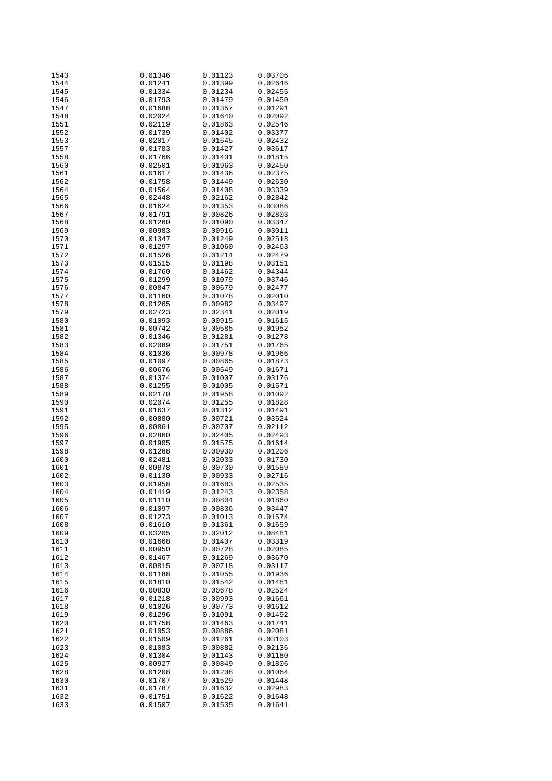| 1543 | 0.01346 | 0.01123 | 0.03706 |
|------|---------|---------|---------|
| 1544 | 0.01241 | 0.01399 | 0.02646 |
| 1545 | 0.01334 | 0.01234 | 0.02455 |
|      |         |         |         |
| 1546 | 0.01793 | 0.01479 | 0.01450 |
| 1547 | 0.01688 | 0.01357 | 0.01291 |
| 1548 | 0.02024 | 0.01640 | 0.02092 |
|      |         |         |         |
| 1551 | 0.02119 | 0.01863 | 0.02546 |
| 1552 | 0.01739 | 0.01402 | 0.03377 |
| 1553 | 0.02017 | 0.01645 | 0.02432 |
|      |         |         |         |
| 1557 | 0.01783 | 0.01427 | 0.03617 |
| 1558 | 0.01766 | 0.01401 | 0.01815 |
| 1560 | 0.02501 | 0.01963 | 0.02450 |
|      |         |         |         |
| 1561 | 0.01617 | 0.01436 | 0.02375 |
| 1562 | 0.01758 | 0.01449 | 0.02630 |
| 1564 | 0.01564 | 0.01408 | 0.03339 |
| 1565 |         | 0.02162 |         |
|      | 0.02448 |         | 0.02842 |
| 1566 | 0.01624 | 0.01353 | 0.03086 |
| 1567 | 0.01791 | 0.00826 | 0.02803 |
| 1568 | 0.01260 | 0.01090 | 0.03347 |
|      |         |         |         |
| 1569 | 0.00983 | 0.00916 | 0.03011 |
| 1570 | 0.01347 | 0.01249 | 0.02518 |
| 1571 | 0.01297 | 0.01060 | 0.02463 |
|      |         |         |         |
| 1572 | 0.01526 | 0.01214 | 0.02479 |
| 1573 | 0.01515 | 0.01198 | 0.03151 |
| 1574 | 0.01760 | 0.01462 | 0.04344 |
|      |         |         |         |
| 1575 | 0.01299 | 0.01079 | 0.03746 |
| 1576 | 0.00847 | 0.00679 | 0.02477 |
| 1577 | 0.01160 | 0.01078 | 0.02010 |
|      |         |         |         |
| 1578 | 0.01265 | 0.00982 | 0.03497 |
| 1579 | 0.02723 | 0.02341 | 0.02019 |
| 1580 | 0.01093 | 0.00915 | 0.01615 |
|      |         |         |         |
| 1581 | 0.00742 | 0.00585 | 0.01952 |
| 1582 | 0.01346 | 0.01281 | 0.01278 |
| 1583 | 0.02089 | 0.01751 | 0.01765 |
| 1584 |         |         |         |
|      | 0.01036 | 0.00978 | 0.01966 |
| 1585 | 0.01097 | 0.00865 | 0.01873 |
| 1586 | 0.00676 | 0.00549 | 0.01671 |
| 1587 | 0.01374 | 0.01007 | 0.03176 |
|      |         |         |         |
| 1588 | 0.01255 | 0.01005 | 0.01571 |
| 1589 | 0.02170 | 0.01958 | 0.01092 |
| 1590 | 0.02074 | 0.01255 | 0.01828 |
|      |         |         |         |
| 1591 | 0.01637 | 0.01312 | 0.01491 |
| 1592 | 0.00880 | 0.00721 | 0.03524 |
| 1595 | 0.00861 | 0.00707 | 0.02112 |
|      |         | 0.02405 |         |
| 1596 | 0.02860 |         | 0.02493 |
| 1597 | 0.01905 | 0.01575 | 0.01614 |
| 1598 | 0.01268 | 0.00930 | 0.01206 |
| 1600 | 0.02481 | 0.02033 | 0.01730 |
|      |         |         |         |
| 1601 | 0.00878 | 0.00730 | 0.01589 |
| 1602 | 0.01130 | 0.00933 | 0.02716 |
| 1603 | 0.01958 | 0.01683 | 0.02535 |
|      |         |         |         |
| 1604 | 0.01419 | 0.01243 | 0.02358 |
| 1605 | 0.01110 | 0.00804 | 0.01860 |
| 1606 | 0.01097 | 0.00836 | 0.03447 |
| 1607 |         | 0.01013 |         |
|      | 0.01273 |         | 0.01574 |
| 1608 | 0.01610 | 0.01361 | 0.01659 |
| 1609 | 0.03205 | 0.02012 | 0.08481 |
| 1610 | 0.01668 | 0.01407 | 0.03319 |
|      |         |         |         |
| 1611 | 0.00950 | 0.00728 | 0.02085 |
| 1612 | 0.01467 | 0.01269 | 0.03670 |
| 1613 | 0.00815 | 0.00718 | 0.03117 |
|      |         |         |         |
| 1614 | 0.01188 | 0.01055 | 0.01936 |
| 1615 | 0.01810 | 0.01542 | 0.01481 |
| 1616 | 0.00830 | 0.00678 | 0.02524 |
| 1617 | 0.01218 | 0.00993 | 0.01661 |
|      |         |         |         |
| 1618 | 0.01026 | 0.00773 | 0.01612 |
| 1619 | 0.01296 | 0.01091 | 0.01492 |
| 1620 | 0.01758 | 0.01463 | 0.01741 |
|      |         |         |         |
| 1621 | 0.01053 | 0.00886 | 0.02081 |
| 1622 | 0.01509 | 0.01261 | 0.03103 |
| 1623 | 0.01083 | 0.00882 | 0.02136 |
|      |         |         |         |
| 1624 | 0.01304 | 0.01143 | 0.01180 |
| 1625 | 0.00927 | 0.00849 | 0.01806 |
| 1628 | 0.01208 | 0.01208 | 0.01064 |
|      |         |         |         |
| 1630 | 0.01707 | 0.01529 | 0.01448 |
| 1631 | 0.01787 | 0.01632 | 0.02983 |
| 1632 | 0.01751 | 0.01622 | 0.01648 |
| 1633 | 0.01507 | 0.01535 | 0.01641 |
|      |         |         |         |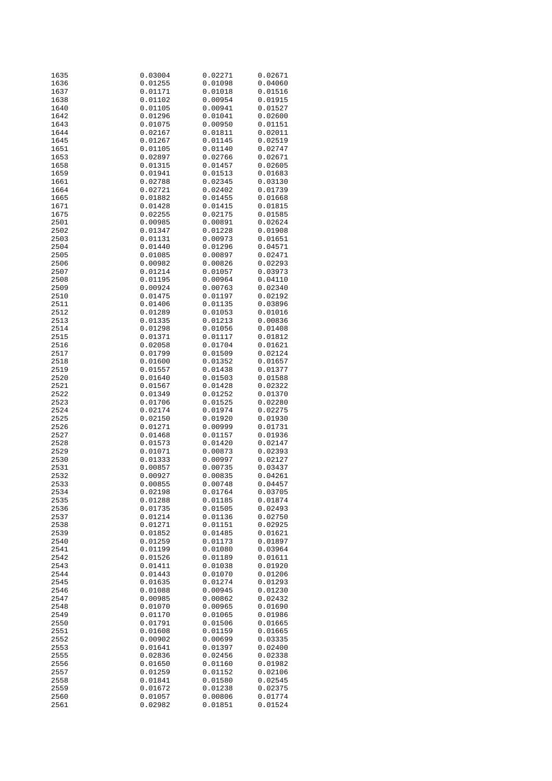| 1635         | 0.03004            | 0.02271            | 0.02671            |
|--------------|--------------------|--------------------|--------------------|
| 1636         | 0.01255            | 0.01098            | 0.04060            |
|              |                    |                    |                    |
| 1637         | 0.01171            | 0.01018            | 0.01516            |
| 1638         | 0.01102            | 0.00954            | 0.01915            |
| 1640         | 0.01105            | 0.00941            | 0.01527            |
|              |                    |                    |                    |
| 1642         | 0.01296            | 0.01041            | 0.02600            |
| 1643         | 0.01075            | 0.00950            | 0.01151            |
|              |                    |                    |                    |
| 1644         | 0.02167            | 0.01811            | 0.02011            |
| 1645         | 0.01267            | 0.01145            | 0.02519            |
| 1651         | 0.01105            | 0.01140            | 0.02747            |
|              |                    |                    |                    |
| 1653         | 0.02897            | 0.02766            | 0.02671            |
| 1658         | 0.01315            | 0.01457            | 0.02605            |
|              |                    |                    |                    |
| 1659         | 0.01941            | 0.01513            | 0.01683            |
| 1661         | 0.02788            | 0.02345            | 0.03130            |
| 1664         | 0.02721            | 0.02402            | 0.01739            |
|              |                    |                    |                    |
| 1665         | 0.01882            | 0.01455            | 0.01668            |
| 1671         | 0.01428            | 0.01415            | 0.01815            |
| 1675         | 0.02255            | 0.02175            | 0.01585            |
|              |                    |                    |                    |
| 2501         | 0.00985            | 0.00891            | 0.02624            |
| 2502         | 0.01347            | 0.01228            | 0.01908            |
| 2503         | 0.01131            | 0.00973            | 0.01651            |
|              |                    |                    |                    |
| 2504         | 0.01440            | 0.01296            | 0.04571            |
| 2505         | 0.01085            | 0.00897            | 0.02471            |
| 2506         |                    |                    |                    |
|              | 0.00982            | 0.00826            | 0.02293            |
| 2507         | 0.01214            | 0.01057            | 0.03973            |
| 2508         | 0.01195            | 0.00964            | 0.04110            |
|              |                    |                    |                    |
| 2509         | 0.00924            | 0.00763            | 0.02340            |
| 2510         | 0.01475            | 0.01197            | 0.02192            |
| 2511         | 0.01406            | 0.01135            | 0.03896            |
|              |                    |                    |                    |
| 2512         | 0.01289            | 0.01053            | 0.01016            |
| 2513         | 0.01335            | 0.01213            | 0.00836            |
| 2514         | 0.01298            | 0.01056            | 0.01408            |
|              |                    |                    |                    |
| 2515         | 0.01371            | 0.01117            | 0.01812            |
| 2516         | 0.02058            | 0.01704            | 0.01621            |
|              |                    |                    |                    |
| 2517         | 0.01799            | 0.01509            | 0.02124            |
| 2518         | 0.01600            | 0.01352            | 0.01657            |
| 2519         | 0.01557            | 0.01438            | 0.01377            |
|              |                    |                    |                    |
| 2520         | 0.01640            | 0.01503            | 0.01588            |
| 2521         | 0.01567            | 0.01428            | 0.02322            |
| 2522         | 0.01349            | 0.01252            | 0.01370            |
|              |                    |                    |                    |
| 2523         | 0.01706            | 0.01525            | 0.02280            |
| 2524         | 0.02174            | 0.01974            | 0.02275            |
| 2525         |                    |                    |                    |
|              | 0.02150            | 0.01920            | 0.01930            |
| 2526         | 0.01271            | 0.00999            | 0.01731            |
| 2527         | 0.01468            | 0.01157            | 0.01936            |
| 2528         |                    | 0.01420            |                    |
|              | 0.01573            |                    | 0.02147            |
| 2529         | 0.01071            | 0.00873            | 0.02393            |
| 2530         | 0.01333            | 0.00997            | 0.02127            |
| 2531         | 0.00857            | 0.00735            | 0.03437            |
|              |                    |                    |                    |
| 2532         | 0.00927            | 0.00835            | 0.04261            |
| 2533         | 0.00855            | 0.00748            | 0.04457            |
|              | 0.02198            | 0.01764            |                    |
| 2534         |                    |                    | 0.03705            |
| 2535         | 0.01288            | 0.01185            | 0.01874            |
| 2536         | 0.01735            | 0.01505            | 0.02493            |
|              |                    |                    |                    |
| 2537         | 0.01214            | 0.01136            | 0.02750            |
| 2538         | 0.01271            | 0.01151            | 0.02925            |
| 2539         | 0.01852            | 0.01485            | 0.01621            |
| 2540         | 0.01259            | 0.01173            | 0.01897            |
|              |                    |                    |                    |
| 2541         | 0.01199            | 0.01080            | 0.03964            |
| 2542         | 0.01526            | 0.01189            | 0.01611            |
|              |                    |                    |                    |
| 2543         | 0.01411            | 0.01038            | 0.01920            |
| 2544         | 0.01443            | 0.01070            | 0.01206            |
| 2545         | 0.01635            | 0.01274            | 0.01293            |
|              |                    |                    |                    |
| 2546         | 0.01088            | 0.00945            | 0.01230            |
| 2547         | 0.00985            | 0.00862            | 0.02432            |
| 2548         | 0.01070            | 0.00965            | 0.01690            |
|              |                    |                    |                    |
| 2549         | 0.01170            | 0.01065            | 0.01986            |
| 2550         | 0.01791            | 0.01506            | 0.01665            |
| 2551         | 0.01608            | 0.01159            | 0.01665            |
|              |                    |                    |                    |
| 2552         | 0.00902            | 0.00699            | 0.03335            |
| 2553         | 0.01641            | 0.01397            | 0.02400            |
| 2555         | 0.02836            | 0.02456            | 0.02338            |
|              |                    |                    |                    |
| 2556         | 0.01650            | 0.01160            | 0.01982            |
| 2557         | 0.01259            | 0.01152            | 0.02106            |
| 2558         | 0.01841            | 0.01580            | 0.02545            |
|              |                    |                    |                    |
| 2559         |                    | 0.01238            | 0.02375            |
|              | 0.01672            |                    |                    |
|              |                    |                    |                    |
| 2560<br>2561 | 0.01057<br>0.02982 | 0.00806<br>0.01851 | 0.01774<br>0.01524 |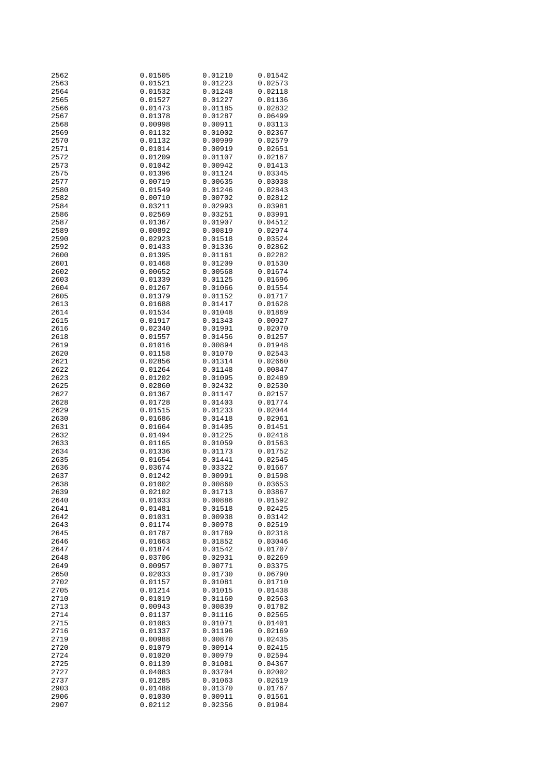| 2562         | 0.01505            | 0.01210            | 0.01542            |
|--------------|--------------------|--------------------|--------------------|
| 2563         | 0.01521            | 0.01223            | 0.02573            |
| 2564         | 0.01532            | 0.01248            | 0.02118            |
|              |                    |                    |                    |
| 2565         | 0.01527            | 0.01227            | 0.01136            |
| 2566         | 0.01473            | 0.01185            | 0.02832            |
| 2567         | 0.01378            | 0.01287            | 0.06499            |
| 2568         | 0.00998            | 0.00911            | 0.03113            |
| 2569         | 0.01132            | 0.01002            | 0.02367            |
|              |                    |                    |                    |
| 2570         | 0.01132            | 0.00999            | 0.02579            |
| 2571         | 0.01014            | 0.00919            | 0.02651            |
| 2572         | 0.01209            | 0.01107            | 0.02167            |
| 2573         | 0.01042            | 0.00942            | 0.01413            |
| 2575         | 0.01396            | 0.01124            | 0.03345            |
| 2577         |                    |                    |                    |
|              | 0.00719            | 0.00635            | 0.03038            |
| 2580         | 0.01549            | 0.01246            | 0.02843            |
| 2582         | 0.00710            | 0.00702            | 0.02812            |
| 2584         | 0.03211            | 0.02993            | 0.03981            |
| 2586         | 0.02569            | 0.03251            | 0.03991            |
| 2587         | 0.01367            | 0.01907            | 0.04512            |
| 2589         | 0.00892            | 0.00819            | 0.02974            |
| 2590         | 0.02923            | 0.01518            | 0.03524            |
|              |                    |                    |                    |
| 2592         | 0.01433            | 0.01336            | 0.02862            |
| 2600         | 0.01395            | 0.01161            | 0.02282            |
| 2601         | 0.01468            | 0.01209            | 0.01530            |
| 2602         | 0.00652            | 0.00568            | 0.01674            |
| 2603         | 0.01339            | 0.01125            | 0.01696            |
| 2604         | 0.01267            | 0.01066            | 0.01554            |
| 2605         | 0.01379            | 0.01152            | 0.01717            |
|              |                    |                    |                    |
| 2613         | 0.01688            | 0.01417            | 0.01628            |
| 2614         | 0.01534            | 0.01048            | 0.01869            |
| 2615         | 0.01917            | 0.01343            | 0.00927            |
| 2616         | 0.02340            | 0.01991            | 0.02070            |
| 2618         | 0.01557            | 0.01456            | 0.01257            |
| 2619         | 0.01016            | 0.00894            | 0.01948            |
| 2620         | 0.01158            | 0.01070            | 0.02543            |
|              |                    |                    |                    |
| 2621         | 0.02856            | 0.01314            | 0.02660            |
| 2622         | 0.01264            | 0.01148            | 0.00847            |
| 2623         | 0.01202            | 0.01095            | 0.02489            |
| 2625         | 0.02860            | 0.02432            | 0.02530            |
| 2627         | 0.01367            | 0.01147            | 0.02157            |
| 2628         | 0.01728            | 0.01403            | 0.01774            |
| 2629         | 0.01515            | 0.01233            | 0.02044            |
| 2630         | 0.01686            | 0.01418            | 0.02961            |
|              |                    |                    |                    |
| 2631         | 0.01664            | 0.01405            | 0.01451            |
| 2632         | 0.01494            | 0.01225            | 0.02418            |
| 2633         | 0.01165            | 0.01059            | 0.01563            |
| 2634         | 0.01336            | 0.01173            | 0.01752            |
| 2635         | 0.01654            | 0.01441            | 0.02545            |
| 2636         | 0.03674            | 0.03322            | 0.01667            |
| 2637         |                    |                    |                    |
|              |                    |                    |                    |
|              | 0.01242            | 0.00991            | 0.01598            |
| 2638         | 0.01002            | 0.00860            | 0.03653            |
| 2639         | 0.02102            | 0.01713            | 0.03867            |
| 2640         | 0.01033            | 0.00886            | 0.01592            |
| 2641         | 0.01481            | 0.01518            | 0.02425            |
| 2642         | 0.01031            | 0.00938            | 0.03142            |
| 2643         | 0.01174            | 0.00978            | 0.02519            |
| 2645         |                    | 0.01789            | 0.02318            |
|              | 0.01787            |                    |                    |
| 2646         | 0.01663            | 0.01852            | 0.03046            |
| 2647         | 0.01874            | 0.01542            | 0.01707            |
| 2648         | 0.03706            | 0.02931            | 0.02269            |
| 2649         | 0.00957            | 0.00771            | 0.03375            |
| 2650         | 0.02033            | 0.01730            | 0.06790            |
| 2702         | 0.01157            | 0.01081            | 0.01710            |
| 2705         | 0.01214            |                    | 0.01438            |
| 2710         | 0.01019            | 0.01015<br>0.01160 | 0.02563            |
|              |                    |                    |                    |
| 2713         | 0.00943            | 0.00839            | 0.01782            |
| 2714         | 0.01137            | 0.01116            | 0.02565            |
| 2715         | 0.01083            | 0.01071            | 0.01401            |
| 2716         | 0.01337            | 0.01196            | 0.02169            |
| 2719         | 0.00988            | 0.00870            | 0.02435            |
| 2720         | 0.01079            | 0.00914            | 0.02415            |
| 2724         | 0.01020            | 0.00979            | 0.02594            |
|              |                    |                    |                    |
| 2725         | 0.01139            | 0.01081            | 0.04367            |
| 2727         | 0.04083            | 0.03704            | 0.02002            |
| 2737         | 0.01285            | 0.01063            | 0.02619            |
| 2903         | 0.01488            | 0.01370            | 0.01767            |
| 2906<br>2907 | 0.01030<br>0.02112 | 0.00911<br>0.02356 | 0.01561<br>0.01984 |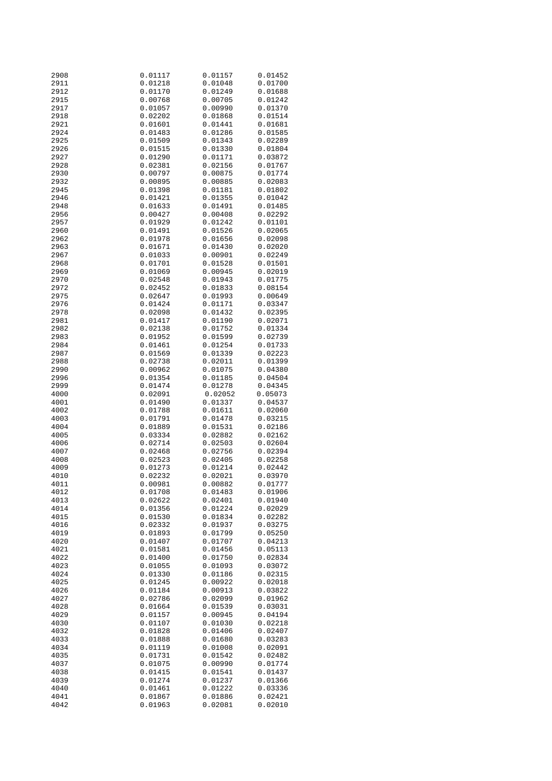| 2908         | 0.01117            | 0.01157            | 0.01452            |
|--------------|--------------------|--------------------|--------------------|
| 2911         | 0.01218            | 0.01048            | 0.01700            |
| 2912         | 0.01170            | 0.01249            | 0.01688            |
|              |                    |                    |                    |
| 2915         | 0.00768            | 0.00705            | 0.01242            |
| 2917         | 0.01057            | 0.00990            | 0.01370            |
| 2918         | 0.02202            | 0.01868            | 0.01514            |
| 2921         | 0.01601            | 0.01441            | 0.01681            |
|              |                    |                    |                    |
| 2924         | 0.01483            | 0.01286            | 0.01585            |
| 2925         | 0.01509            | 0.01343            | 0.02289            |
| 2926         | 0.01515            | 0.01330            | 0.01804            |
| 2927         | 0.01290            | 0.01171            | 0.03872            |
|              |                    |                    |                    |
| 2928         | 0.02381            | 0.02156            | 0.01767            |
| 2930         | 0.00797            | 0.00875            | 0.01774            |
| 2932         | 0.00895            | 0.00885            | 0.02083            |
| 2945         | 0.01398            | 0.01181            | 0.01802            |
|              |                    |                    |                    |
| 2946         | 0.01421            | 0.01355            | 0.01042            |
| 2948         | 0.01633            | 0.01491            | 0.01485            |
| 2956         | 0.00427            | 0.00408            | 0.02292            |
| 2957         | 0.01929            | 0.01242            | 0.01101            |
| 2960         | 0.01491            | 0.01526            | 0.02065            |
|              |                    |                    |                    |
| 2962         | 0.01978            | 0.01656            | 0.02098            |
| 2963         | 0.01671            | 0.01430            | 0.02020            |
| 2967         | 0.01033            | 0.00901            | 0.02249            |
| 2968         | 0.01701            | 0.01528            | 0.01501            |
|              |                    |                    |                    |
| 2969         | 0.01069            | 0.00945            | 0.02019            |
| 2970         | 0.02548            | 0.01943            | 0.01775            |
| 2972         | 0.02452            | 0.01833            | 0.08154            |
| 2975         | 0.02647            | 0.01993            | 0.00649            |
|              |                    |                    |                    |
| 2976         | 0.01424            | 0.01171            | 0.03347            |
| 2978         | 0.02098            | 0.01432            | 0.02395            |
| 2981         | 0.01417            | 0.01190            | 0.02071            |
| 2982         | 0.02138            | 0.01752            | 0.01334            |
| 2983         |                    | 0.01599            | 0.02739            |
|              | 0.01952            |                    |                    |
| 2984         | 0.01461            | 0.01254            | 0.01733            |
| 2987         | 0.01569            | 0.01339            | 0.02223            |
| 2988         | 0.02738            | 0.02011            | 0.01399            |
| 2990         | 0.00962            | 0.01075            | 0.04380            |
|              |                    |                    |                    |
| 2996         | 0.01354            | 0.01185            | 0.04504            |
| 2999         | 0.01474            | 0.01278            | 0.04345            |
| 4000         | 0.02091            | 0.02052            | 0.05073            |
| 4001         | 0.01490            | 0.01337            | 0.04537            |
|              |                    |                    |                    |
| 4002         | 0.01788            | 0.01611            | 0.02060            |
| 4003         | 0.01791            | 0.01478            | 0.03215            |
| 4004         | 0.01889            | 0.01531            | 0.02186            |
| 4005         | 0.03334            | 0.02882            | 0.02162            |
| 4006         | 0.02714            | 0.02503            | 0.02604            |
|              |                    |                    |                    |
| 4007         | 0.02468            | 0.02756            |                    |
|              |                    |                    | 0.02394            |
| 4008         | 0.02523            | 0.02405            | 0.02258            |
|              | 0.01273            |                    |                    |
| 4009         |                    | 0.01214            | 0.02442            |
| 4010         | 0.02232            | 0.02021            | 0.03970            |
| 4011         | 0.00981            | 0.00882            | 0.01777            |
| 4012         | 0.01708            | 0.01483            | 0.01906            |
| 4013         | 0.02622            | 0.02401            | 0.01940            |
|              |                    |                    |                    |
| 4014         | 0.01356            | 0.01224            | 0.02029            |
| 4015         | 0.01530            | 0.01834            | 0.02282            |
| 4016         | 0.02332            | 0.01937            | 0.03275            |
| 4019         | 0.01893            | 0.01799            | 0.05250            |
| 4020         | 0.01407            | 0.01707            | 0.04213            |
|              |                    |                    |                    |
| 4021         | 0.01581            | 0.01456            | 0.05113            |
| 4022         | 0.01400            | 0.01750            | 0.02834            |
| 4023         | 0.01055            | 0.01093            | 0.03072            |
| 4024         | 0.01330            | 0.01186            | 0.02315            |
|              |                    |                    |                    |
| 4025         | 0.01245            | 0.00922            | 0.02018            |
| 4026         | 0.01184            | 0.00913            | 0.03822            |
| 4027         | 0.02786            | 0.02099            | 0.01962            |
| 4028         | 0.01664            | 0.01539            | 0.03031            |
| 4029         | 0.01157            | 0.00945            | 0.04194            |
|              |                    |                    |                    |
| 4030         | 0.01107            | 0.01030            | 0.02218            |
| 4032         | 0.01828            | 0.01406            | 0.02407            |
| 4033         | 0.01888            | 0.01680            | 0.03283            |
| 4034         | 0.01119            | 0.01008            | 0.02091            |
|              |                    |                    |                    |
| 4035         | 0.01731            | 0.01542            | 0.02482            |
| 4037         | 0.01075            | 0.00990            | 0.01774            |
| 4038         | 0.01415            | 0.01541            | 0.01437            |
| 4039         | 0.01274            | 0.01237            | 0.01366            |
|              |                    |                    |                    |
| 4040         | 0.01461            | 0.01222            | 0.03336            |
| 4041<br>4042 | 0.01867<br>0.01963 | 0.01886<br>0.02081 | 0.02421<br>0.02010 |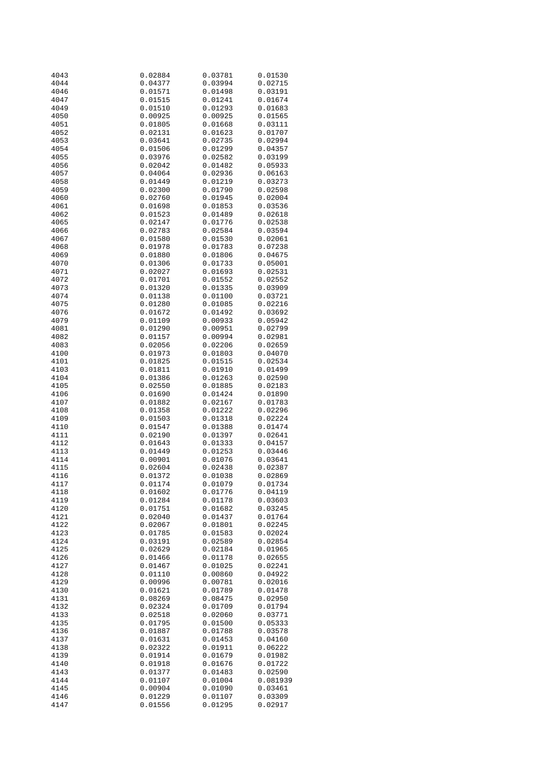| 4043 | 0.02884 | 0.03781 | 0.01530  |
|------|---------|---------|----------|
| 4044 | 0.04377 | 0.03994 | 0.02715  |
| 4046 | 0.01571 | 0.01498 | 0.03191  |
| 4047 |         |         |          |
|      | 0.01515 | 0.01241 | 0.01674  |
| 4049 | 0.01510 | 0.01293 | 0.01683  |
| 4050 | 0.00925 | 0.00925 | 0.01565  |
| 4051 | 0.01805 | 0.01668 | 0.03111  |
| 4052 | 0.02131 | 0.01623 | 0.01707  |
|      |         |         |          |
| 4053 | 0.03641 | 0.02735 | 0.02994  |
| 4054 | 0.01506 | 0.01299 | 0.04357  |
| 4055 | 0.03976 | 0.02582 | 0.03199  |
| 4056 | 0.02042 | 0.01482 | 0.05933  |
|      |         |         |          |
| 4057 | 0.04064 | 0.02936 | 0.06163  |
| 4058 | 0.01449 | 0.01219 | 0.03273  |
| 4059 | 0.02300 | 0.01790 | 0.02598  |
| 4060 | 0.02760 | 0.01945 | 0.02004  |
| 4061 | 0.01698 | 0.01853 | 0.03536  |
|      |         |         |          |
| 4062 | 0.01523 | 0.01489 | 0.02618  |
| 4065 | 0.02147 | 0.01776 | 0.02538  |
| 4066 | 0.02783 | 0.02584 | 0.03594  |
| 4067 | 0.01580 | 0.01530 | 0.02061  |
| 4068 | 0.01978 | 0.01783 | 0.07238  |
|      |         |         |          |
| 4069 | 0.01880 | 0.01806 | 0.04675  |
| 4070 | 0.01306 | 0.01733 | 0.05001  |
| 4071 | 0.02027 | 0.01693 | 0.02531  |
| 4072 | 0.01701 | 0.01552 | 0.02552  |
| 4073 | 0.01320 | 0.01335 | 0.03909  |
|      |         |         |          |
| 4074 | 0.01138 | 0.01100 | 0.03721  |
| 4075 | 0.01280 | 0.01085 | 0.02216  |
| 4076 | 0.01672 | 0.01492 | 0.03692  |
| 4079 | 0.01109 | 0.00933 | 0.05942  |
| 4081 |         |         |          |
|      | 0.01290 | 0.00951 | 0.02799  |
| 4082 | 0.01157 | 0.00994 | 0.02981  |
| 4083 | 0.02056 | 0.02206 | 0.02659  |
| 4100 | 0.01973 | 0.01803 | 0.04070  |
| 4101 | 0.01825 | 0.01515 | 0.02534  |
|      |         |         |          |
| 4103 | 0.01811 | 0.01910 | 0.01499  |
| 4104 | 0.01386 | 0.01263 | 0.02590  |
| 4105 | 0.02550 | 0.01885 | 0.02183  |
| 4106 | 0.01690 | 0.01424 | 0.01890  |
| 4107 | 0.01882 | 0.02167 | 0.01783  |
|      |         |         |          |
| 4108 | 0.01358 | 0.01222 | 0.02296  |
| 4109 | 0.01503 | 0.01318 | 0.02224  |
| 4110 | 0.01547 | 0.01388 | 0.01474  |
| 4111 | 0.02190 | 0.01397 | 0.02641  |
| 4112 | 0.01643 | 0.01333 | 0.04157  |
|      |         |         |          |
| 4113 | 0.01449 | 0.01253 | 0.03446  |
| 4114 | 0.00901 | 0.01076 | 0.03641  |
| 4115 | 0.02604 | 0.02438 | 0.02387  |
| 4116 | 0.01372 | 0.01038 | 0.02869  |
| 4117 | 0.01174 | 0.01079 | 0.01734  |
| 4118 | 0.01602 | 0.01776 | 0.04119  |
|      |         |         |          |
| 4119 | 0.01284 | 0.01178 | 0.03603  |
| 4120 | 0.01751 | 0.01682 | 0.03245  |
| 4121 | 0.02040 | 0.01437 | 0.01764  |
| 4122 | 0.02067 | 0.01801 | 0.02245  |
|      |         |         |          |
| 4123 | 0.01785 | 0.01583 | 0.02024  |
| 4124 | 0.03191 | 0.02589 | 0.02854  |
| 4125 | 0.02629 | 0.02184 | 0.01965  |
| 4126 | 0.01466 | 0.01178 | 0.02655  |
| 4127 | 0.01467 | 0.01025 | 0.02241  |
|      |         | 0.00860 |          |
| 4128 | 0.01110 |         | 0.04922  |
| 4129 | 0.00996 | 0.00781 | 0.02016  |
| 4130 | 0.01621 | 0.01789 | 0.01478  |
| 4131 | 0.08269 | 0.08475 | 0.02950  |
| 4132 | 0.02324 | 0.01709 | 0.01794  |
| 4133 | 0.02518 | 0.02060 | 0.03771  |
|      |         |         |          |
| 4135 | 0.01795 | 0.01500 | 0.05333  |
| 4136 | 0.01887 | 0.01788 | 0.03578  |
| 4137 | 0.01631 | 0.01453 | 0.04160  |
| 4138 | 0.02322 | 0.01911 | 0.06222  |
| 4139 | 0.01914 | 0.01679 | 0.01982  |
|      |         |         |          |
| 4140 | 0.01918 | 0.01676 | 0.01722  |
| 4143 | 0.01377 | 0.01483 | 0.02590  |
| 4144 | 0.01107 | 0.01004 | 0.081939 |
| 4145 | 0.00904 | 0.01090 | 0.03461  |
| 4146 | 0.01229 | 0.01107 | 0.03309  |
|      |         |         |          |
| 4147 | 0.01556 | 0.01295 | 0.02917  |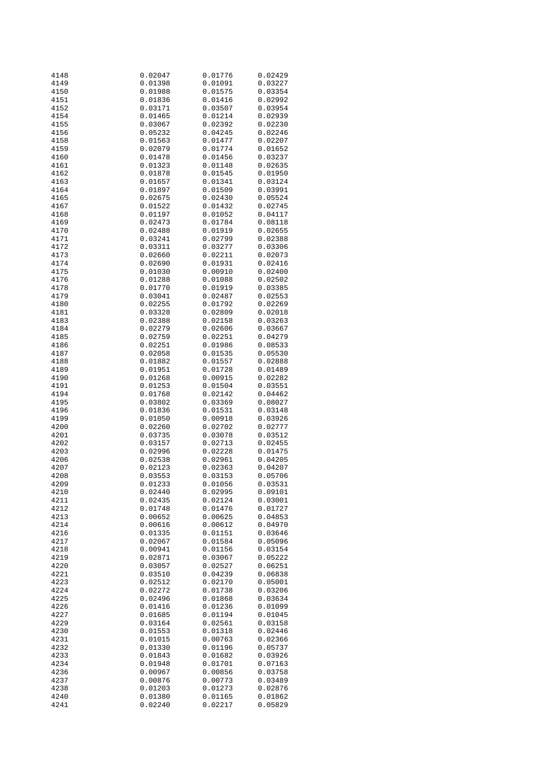| 4148 | 0.02047 | 0.01776 | 0.02429 |
|------|---------|---------|---------|
| 4149 | 0.01398 | 0.01091 | 0.03227 |
| 4150 | 0.01988 | 0.01575 | 0.03354 |
|      |         |         |         |
| 4151 | 0.01836 | 0.01416 | 0.02992 |
| 4152 | 0.03171 | 0.03507 | 0.03954 |
| 4154 | 0.01465 | 0.01214 | 0.02939 |
|      |         |         |         |
| 4155 | 0.03067 | 0.02392 | 0.02230 |
| 4156 | 0.05232 | 0.04245 | 0.02246 |
| 4158 | 0.01563 | 0.01477 | 0.02207 |
|      |         |         |         |
| 4159 | 0.02079 | 0.01774 | 0.01652 |
| 4160 | 0.01478 | 0.01456 | 0.03237 |
| 4161 | 0.01323 | 0.01148 | 0.02635 |
|      |         | 0.01545 |         |
| 4162 | 0.01878 |         | 0.01950 |
| 4163 | 0.01657 | 0.01341 | 0.03124 |
| 4164 | 0.01897 | 0.01509 | 0.03991 |
| 4165 | 0.02675 | 0.02430 | 0.05524 |
|      |         |         |         |
| 4167 | 0.01522 | 0.01432 | 0.02745 |
| 4168 | 0.01197 | 0.01052 | 0.04117 |
| 4169 | 0.02473 | 0.01784 | 0.08118 |
| 4170 | 0.02488 | 0.01919 | 0.02655 |
|      |         |         |         |
| 4171 | 0.03241 | 0.02799 | 0.02388 |
| 4172 | 0.03311 | 0.03277 | 0.03306 |
| 4173 | 0.02660 | 0.02211 | 0.02073 |
|      |         |         |         |
| 4174 | 0.02690 | 0.01931 | 0.02416 |
| 4175 | 0.01030 | 0.00910 | 0.02400 |
| 4176 | 0.01288 | 0.01088 | 0.02502 |
|      | 0.01770 |         | 0.03385 |
| 4178 |         | 0.01919 |         |
| 4179 | 0.03041 | 0.02487 | 0.02553 |
| 4180 | 0.02255 | 0.01792 | 0.02269 |
| 4181 | 0.03328 | 0.02809 | 0.02018 |
|      |         |         |         |
| 4183 | 0.02388 | 0.02158 | 0.03263 |
| 4184 | 0.02279 | 0.02606 | 0.03667 |
| 4185 | 0.02759 | 0.02251 | 0.04279 |
|      |         |         |         |
| 4186 | 0.02251 | 0.01986 | 0.08533 |
| 4187 | 0.02058 | 0.01535 | 0.05530 |
| 4188 | 0.01882 | 0.01557 | 0.02888 |
| 4189 | 0.01951 |         | 0.01489 |
|      |         | 0.01728 |         |
| 4190 | 0.01268 | 0.00915 | 0.02282 |
| 4191 | 0.01253 | 0.01504 | 0.03551 |
| 4194 | 0.01768 | 0.02142 | 0.04462 |
|      |         |         |         |
| 4195 | 0.03802 | 0.03369 | 0.08027 |
| 4196 | 0.01836 | 0.01531 | 0.03148 |
| 4199 | 0.01050 | 0.00918 | 0.03926 |
|      |         |         |         |
| 4200 | 0.02260 | 0.02702 | 0.02777 |
| 4201 | 0.03735 | 0.03078 | 0.03512 |
| 4202 | 0.03157 | 0.02713 | 0.02455 |
| 4203 | 0.02996 | 0.02228 | 0.01475 |
|      |         |         |         |
| 4206 | 0.02538 | 0.02961 | 0.04205 |
| 4207 | 0.02123 | 0.02363 | 0.04207 |
| 4208 | 0.03553 | 0.03153 | 0.05706 |
|      |         |         |         |
| 4209 | 0.01233 | 0.01056 | 0.03531 |
| 4210 | 0.02440 | 0.02995 | 0.09101 |
| 4211 | 0.02435 | 0.02124 | 0.03001 |
| 4212 | 0.01748 | 0.01476 | 0.01727 |
|      |         |         |         |
| 4213 | 0.00652 | 0.00625 | 0.04853 |
| 4214 | 0.00616 | 0.00612 | 0.04970 |
| 4216 | 0.01335 | 0.01151 | 0.03646 |
|      |         |         |         |
| 4217 | 0.02067 | 0.01584 | 0.05096 |
| 4218 | 0.00941 | 0.01156 | 0.03154 |
| 4219 | 0.02871 | 0.03067 | 0.05222 |
| 4220 | 0.03057 | 0.02527 | 0.06251 |
|      |         |         |         |
| 4221 | 0.03510 | 0.04239 | 0.06838 |
| 4223 | 0.02512 | 0.02170 | 0.05001 |
| 4224 | 0.02272 | 0.01738 | 0.03206 |
|      |         | 0.01868 | 0.03634 |
| 4225 | 0.02496 |         |         |
| 4226 | 0.01416 | 0.01236 | 0.01099 |
| 4227 | 0.01685 | 0.01194 | 0.01045 |
| 4229 | 0.03164 | 0.02561 | 0.03158 |
|      |         |         |         |
| 4230 | 0.01553 | 0.01318 | 0.02446 |
| 4231 | 0.01015 | 0.00763 | 0.02366 |
| 4232 | 0.01330 | 0.01196 | 0.05737 |
|      |         |         |         |
| 4233 | 0.01843 | 0.01682 | 0.03926 |
| 4234 | 0.01948 | 0.01701 | 0.07163 |
| 4236 | 0.00967 | 0.00856 | 0.03758 |
|      |         |         |         |
| 4237 | 0.00876 | 0.00773 | 0.03489 |
| 4238 | 0.01203 | 0.01273 | 0.02876 |
| 4240 | 0.01380 | 0.01165 | 0.01862 |
| 4241 | 0.02240 | 0.02217 | 0.05829 |
|      |         |         |         |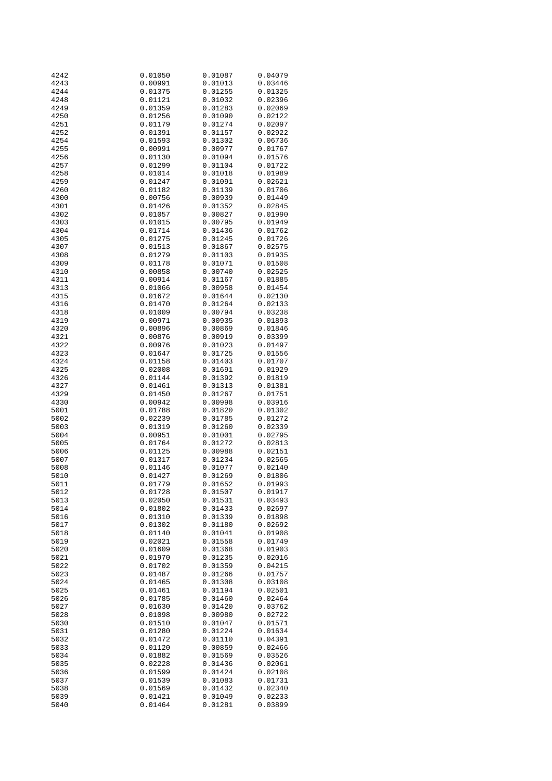| 4242 | 0.01050 | 0.01087 | 0.04079 |
|------|---------|---------|---------|
| 4243 | 0.00991 | 0.01013 | 0.03446 |
| 4244 | 0.01375 | 0.01255 | 0.01325 |
|      |         |         |         |
| 4248 | 0.01121 | 0.01032 | 0.02396 |
| 4249 | 0.01359 | 0.01283 | 0.02069 |
| 4250 | 0.01256 | 0.01090 | 0.02122 |
| 4251 | 0.01179 | 0.01274 | 0.02097 |
| 4252 |         |         | 0.02922 |
|      | 0.01391 | 0.01157 |         |
| 4254 | 0.01593 | 0.01302 | 0.06736 |
| 4255 | 0.00991 | 0.00977 | 0.01767 |
| 4256 | 0.01130 | 0.01094 | 0.01576 |
| 4257 | 0.01299 | 0.01104 | 0.01722 |
|      |         |         |         |
| 4258 | 0.01014 | 0.01018 | 0.01989 |
| 4259 | 0.01247 | 0.01091 | 0.02621 |
| 4260 | 0.01182 | 0.01139 | 0.01706 |
| 4300 | 0.00756 | 0.00939 | 0.01449 |
| 4301 | 0.01426 | 0.01352 | 0.02845 |
|      |         |         |         |
| 4302 | 0.01057 | 0.00827 | 0.01990 |
| 4303 | 0.01015 | 0.00795 | 0.01949 |
| 4304 | 0.01714 | 0.01436 | 0.01762 |
| 4305 | 0.01275 | 0.01245 | 0.01726 |
| 4307 | 0.01513 | 0.01867 | 0.02575 |
|      |         |         |         |
| 4308 | 0.01279 | 0.01103 | 0.01935 |
| 4309 | 0.01178 | 0.01071 | 0.01508 |
| 4310 | 0.00858 | 0.00740 | 0.02525 |
| 4311 | 0.00914 | 0.01167 | 0.01885 |
| 4313 | 0.01066 | 0.00958 | 0.01454 |
|      |         |         |         |
| 4315 | 0.01672 | 0.01644 | 0.02130 |
| 4316 | 0.01470 | 0.01264 | 0.02133 |
| 4318 | 0.01009 | 0.00794 | 0.03238 |
| 4319 | 0.00971 | 0.00935 | 0.01893 |
| 4320 | 0.00896 | 0.00869 | 0.01846 |
|      |         |         |         |
| 4321 | 0.00876 | 0.00919 | 0.03399 |
| 4322 | 0.00976 | 0.01023 | 0.01497 |
| 4323 | 0.01647 | 0.01725 | 0.01556 |
| 4324 | 0.01158 | 0.01403 | 0.01707 |
| 4325 | 0.02008 | 0.01691 | 0.01929 |
| 4326 | 0.01144 | 0.01392 |         |
|      |         |         | 0.01819 |
| 4327 | 0.01461 | 0.01313 | 0.01381 |
| 4329 | 0.01450 | 0.01267 | 0.01751 |
| 4330 | 0.00942 | 0.00998 | 0.03916 |
| 5001 | 0.01788 | 0.01820 | 0.01302 |
| 5002 | 0.02239 | 0.01785 | 0.01272 |
|      |         |         |         |
| 5003 | 0.01319 | 0.01260 | 0.02339 |
| 5004 | 0.00951 | 0.01001 | 0.02795 |
| 5005 | 0.01764 | 0.01272 | 0.02813 |
| 5006 | 0.01125 | 0.00988 | 0.02151 |
| 5007 | 0.01317 | 0.01234 | 0.02565 |
|      |         |         |         |
| 5008 | 0.01146 | 0.01077 | 0.02140 |
| 5010 | 0.01427 | 0.01269 | 0.01806 |
| 5011 | 0.01779 | 0.01652 | 0.01993 |
| 5012 | 0.01728 | 0.01507 | 0.01917 |
| 5013 | 0.02050 | 0.01531 | 0.03493 |
|      |         |         |         |
| 5014 | 0.01802 | 0.01433 | 0.02697 |
| 5016 | 0.01310 | 0.01339 | 0.01898 |
| 5017 | 0.01302 | 0.01180 | 0.02692 |
| 5018 | 0.01140 | 0.01041 | 0.01908 |
| 5019 | 0.02021 | 0.01558 | 0.01749 |
|      |         |         |         |
| 5020 | 0.01609 | 0.01368 | 0.01903 |
| 5021 | 0.01970 | 0.01235 | 0.02016 |
| 5022 | 0.01702 | 0.01359 | 0.04215 |
| 5023 | 0.01487 | 0.01266 | 0.01757 |
| 5024 | 0.01465 | 0.01308 | 0.03108 |
| 5025 | 0.01461 | 0.01194 |         |
|      |         |         | 0.02501 |
| 5026 | 0.01785 | 0.01460 | 0.02464 |
| 5027 | 0.01630 | 0.01420 | 0.03762 |
| 5028 | 0.01098 | 0.00980 | 0.02722 |
| 5030 | 0.01510 | 0.01047 | 0.01571 |
| 5031 | 0.01280 | 0.01224 | 0.01634 |
|      |         |         |         |
| 5032 | 0.01472 | 0.01110 | 0.04391 |
| 5033 | 0.01120 | 0.00859 | 0.02466 |
| 5034 | 0.01882 | 0.01569 | 0.03526 |
| 5035 | 0.02228 | 0.01436 | 0.02061 |
| 5036 | 0.01599 | 0.01424 | 0.02108 |
|      |         |         |         |
| 5037 | 0.01539 | 0.01083 | 0.01731 |
| 5038 | 0.01569 | 0.01432 | 0.02340 |
| 5039 | 0.01421 | 0.01049 | 0.02233 |
| 5040 | 0.01464 | 0.01281 | 0.03899 |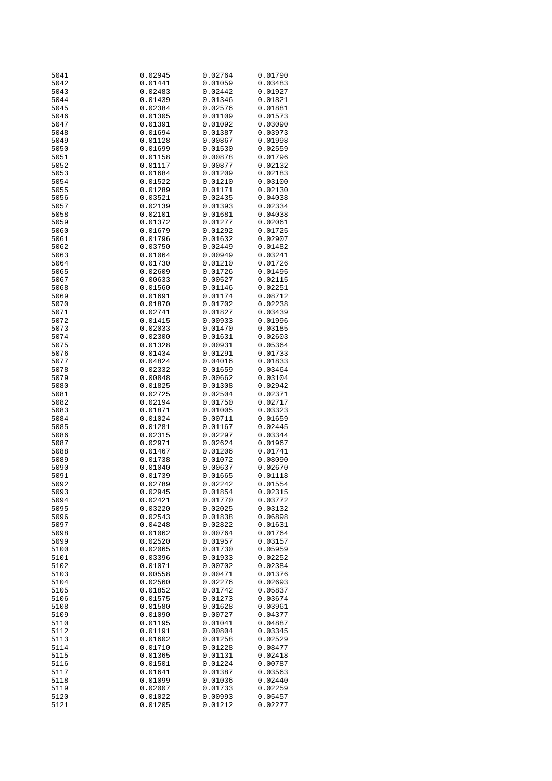| 5041 | 0.02945 | 0.02764 | 0.01790 |
|------|---------|---------|---------|
| 5042 | 0.01441 | 0.01059 | 0.03483 |
| 5043 | 0.02483 | 0.02442 | 0.01927 |
|      |         |         |         |
| 5044 | 0.01439 | 0.01346 | 0.01821 |
| 5045 | 0.02384 | 0.02576 | 0.01881 |
| 5046 | 0.01305 | 0.01109 | 0.01573 |
|      |         |         |         |
| 5047 | 0.01391 | 0.01092 | 0.03090 |
| 5048 | 0.01694 | 0.01387 | 0.03973 |
| 5049 | 0.01128 | 0.00867 | 0.01998 |
|      |         |         |         |
| 5050 | 0.01699 | 0.01530 | 0.02559 |
| 5051 | 0.01158 | 0.00878 | 0.01796 |
| 5052 | 0.01117 | 0.00877 | 0.02132 |
|      |         |         |         |
| 5053 | 0.01684 | 0.01209 | 0.02183 |
| 5054 | 0.01522 | 0.01210 | 0.03100 |
| 5055 | 0.01289 | 0.01171 | 0.02130 |
| 5056 | 0.03521 | 0.02435 |         |
|      |         |         | 0.04038 |
| 5057 | 0.02139 | 0.01393 | 0.02334 |
| 5058 | 0.02101 | 0.01681 | 0.04038 |
| 5059 | 0.01372 | 0.01277 | 0.02061 |
|      |         |         |         |
| 5060 | 0.01679 | 0.01292 | 0.01725 |
| 5061 | 0.01796 | 0.01632 | 0.02907 |
| 5062 | 0.03750 | 0.02449 | 0.01482 |
|      |         |         |         |
| 5063 | 0.01064 | 0.00949 | 0.03241 |
| 5064 | 0.01730 | 0.01210 | 0.01726 |
| 5065 | 0.02609 | 0.01726 | 0.01495 |
|      |         |         |         |
| 5067 | 0.00633 | 0.00527 | 0.02115 |
| 5068 | 0.01560 | 0.01146 | 0.02251 |
| 5069 | 0.01691 | 0.01174 | 0.08712 |
|      |         |         |         |
| 5070 | 0.01870 | 0.01702 | 0.02238 |
| 5071 | 0.02741 | 0.01827 | 0.03439 |
| 5072 | 0.01415 | 0.00933 | 0.01996 |
|      |         | 0.01470 |         |
| 5073 | 0.02033 |         | 0.03185 |
| 5074 | 0.02300 | 0.01631 | 0.02603 |
| 5075 | 0.01328 | 0.00931 | 0.05364 |
| 5076 | 0.01434 | 0.01291 | 0.01733 |
|      |         |         |         |
| 5077 | 0.04824 | 0.04016 | 0.01833 |
| 5078 | 0.02332 | 0.01659 | 0.03464 |
| 5079 | 0.00848 | 0.00662 | 0.03104 |
|      |         |         |         |
| 5080 | 0.01825 | 0.01308 | 0.02942 |
| 5081 | 0.02725 | 0.02504 | 0.02371 |
| 5082 | 0.02194 | 0.01750 | 0.02717 |
|      |         |         |         |
| 5083 | 0.01871 | 0.01005 | 0.03323 |
| 5084 | 0.01024 | 0.00711 | 0.01659 |
| 5085 | 0.01281 | 0.01167 | 0.02445 |
| 5086 | 0.02315 | 0.02297 | 0.03344 |
|      |         |         |         |
| 5087 | 0.02971 | 0.02624 | 0.01967 |
| 5088 | 0.01467 | 0.01206 | 0.01741 |
| 5089 | 0.01738 | 0.01072 | 0.08090 |
|      |         |         |         |
| 5090 | 0.01040 | 0.00637 | 0.02670 |
| 5091 | 0.01739 | 0.01665 | 0.01118 |
| 5092 | 0.02789 | 0.02242 | 0.01554 |
|      | 0.02945 | 0.01854 | 0.02315 |
| 5093 |         |         |         |
| 5094 | 0.02421 | 0.01770 | 0.03772 |
| 5095 | 0.03220 | 0.02025 | 0.03132 |
| 5096 | 0.02543 | 0.01838 | 0.06898 |
|      |         |         |         |
| 5097 | 0.04248 | 0.02822 | 0.01631 |
| 5098 | 0.01062 | 0.00764 | 0.01764 |
| 5099 | 0.02520 | 0.01957 | 0.03157 |
|      |         |         |         |
| 5100 | 0.02065 | 0.01730 | 0.05959 |
| 5101 | 0.03396 | 0.01933 | 0.02252 |
| 5102 | 0.01071 | 0.00702 | 0.02384 |
|      |         |         |         |
| 5103 | 0.00558 | 0.00471 | 0.01376 |
| 5104 | 0.02560 | 0.02276 | 0.02693 |
| 5105 | 0.01852 | 0.01742 | 0.05837 |
| 5106 | 0.01575 | 0.01273 | 0.03674 |
|      |         |         |         |
| 5108 | 0.01580 | 0.01628 | 0.03961 |
| 5109 | 0.01090 | 0.00727 | 0.04377 |
| 5110 | 0.01195 | 0.01041 | 0.04887 |
|      |         |         |         |
| 5112 | 0.01191 | 0.00804 | 0.03345 |
| 5113 | 0.01602 | 0.01258 | 0.02529 |
| 5114 | 0.01710 | 0.01228 | 0.08477 |
|      |         |         |         |
| 5115 | 0.01365 | 0.01131 | 0.02418 |
| 5116 | 0.01501 | 0.01224 | 0.00787 |
| 5117 | 0.01641 | 0.01387 | 0.03563 |
| 5118 | 0.01099 | 0.01036 | 0.02440 |
|      |         |         |         |
| 5119 | 0.02007 | 0.01733 | 0.02259 |
| 5120 | 0.01022 | 0.00993 | 0.05457 |
| 5121 | 0.01205 | 0.01212 | 0.02277 |
|      |         |         |         |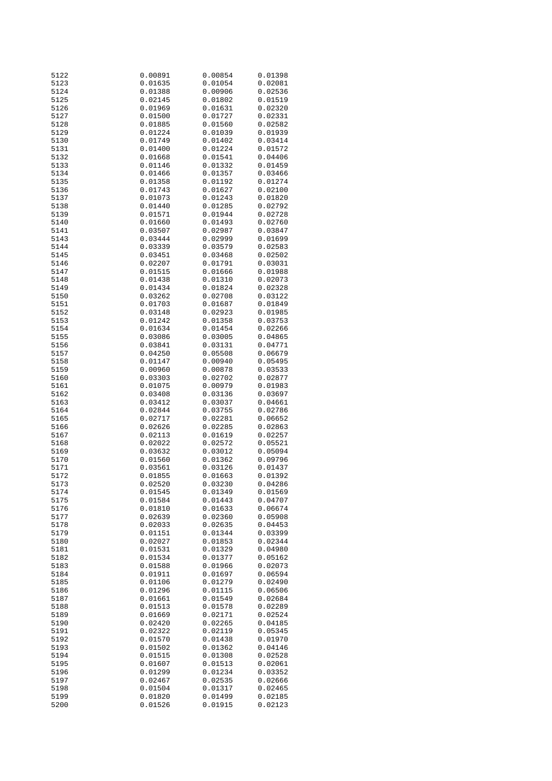| 5122         | 0.00891            | 0.00854            | 0.01398            |
|--------------|--------------------|--------------------|--------------------|
| 5123         | 0.01635            | 0.01054            | 0.02081            |
| 5124         | 0.01388            | 0.00906            | 0.02536            |
|              |                    |                    |                    |
| 5125         | 0.02145            | 0.01802            | 0.01519            |
| 5126         | 0.01969            | 0.01631            | 0.02320            |
| 5127         | 0.01500            | 0.01727            | 0.02331            |
|              |                    |                    |                    |
| 5128         | 0.01885            | 0.01560            | 0.02582            |
| 5129         | 0.01224            | 0.01039            | 0.01939            |
| 5130         | 0.01749            | 0.01402            | 0.03414            |
|              |                    |                    |                    |
| 5131         | 0.01400            | 0.01224            | 0.01572            |
| 5132         | 0.01668            | 0.01541            | 0.04406            |
| 5133         | 0.01146            | 0.01332            | 0.01459            |
|              |                    |                    |                    |
| 5134         | 0.01466            | 0.01357            | 0.03466            |
| 5135         | 0.01358            | 0.01192            | 0.01274            |
| 5136         | 0.01743            | 0.01627            | 0.02100            |
| 5137         | 0.01073            | 0.01243            | 0.01820            |
|              |                    |                    |                    |
| 5138         | 0.01440            | 0.01285            | 0.02792            |
| 5139         | 0.01571            | 0.01944            | 0.02728            |
| 5140         | 0.01660            | 0.01493            | 0.02760            |
|              |                    |                    |                    |
| 5141         | 0.03507            | 0.02987            | 0.03847            |
| 5143         | 0.03444            | 0.02999            | 0.01699            |
| 5144         | 0.03339            | 0.03579            | 0.02583            |
|              |                    |                    |                    |
| 5145         | 0.03451            | 0.03468            | 0.02502            |
| 5146         | 0.02207            | 0.01791            | 0.03031            |
| 5147         | 0.01515            | 0.01666            | 0.01988            |
|              |                    |                    |                    |
| 5148         | 0.01438            | 0.01310            | 0.02073            |
| 5149         | 0.01434            | 0.01824            | 0.02328            |
| 5150         | 0.03262            | 0.02708            | 0.03122            |
|              |                    |                    |                    |
| 5151         | 0.01703            | 0.01687            | 0.01849            |
| 5152         | 0.03148            | 0.02923            | 0.01985            |
| 5153         | 0.01242            | 0.01358            | 0.03753            |
| 5154         | 0.01634            | 0.01454            | 0.02266            |
|              |                    |                    |                    |
| 5155         | 0.03086            | 0.03005            | 0.04865            |
| 5156         | 0.03841            | 0.03131            | 0.04771            |
| 5157         | 0.04250            | 0.05508            | 0.06679            |
|              |                    |                    |                    |
| 5158         | 0.01147            | 0.00940            | 0.05495            |
| 5159         | 0.00960            | 0.00878            | 0.03533            |
| 5160         | 0.03303            | 0.02702            | 0.02877            |
|              |                    |                    |                    |
| 5161         | 0.01075            | 0.00979            | 0.01983            |
| 5162         | 0.03408            | 0.03136            | 0.03697            |
| 5163         | 0.03412            | 0.03037            | 0.04661            |
|              |                    |                    |                    |
| 5164         | 0.02844            | 0.03755            | 0.02786            |
| 5165         | 0.02717            | 0.02281            | 0.06652            |
| 5166         | 0.02626            | 0.02285            | 0.02863            |
| 5167         | 0.02113            | 0.01619            | 0.02257            |
|              |                    |                    |                    |
| 5168         | 0.02022            | 0.02572            | 0.05521            |
| 5169         | 0.03632            | 0.03012            | 0.05094            |
| 5170         | 0.01560            | 0.01362            | 0.09796            |
| 5171         | 0.03561            | 0.03126            | 0.01437            |
|              |                    |                    |                    |
| 5172         | 0.01855            | 0.01663            | 0.01392            |
| 5173         | 0.02520            | 0.03230            | 0.04286            |
| 5174         | 0.01545            | 0.01349            | 0.01569            |
|              |                    |                    |                    |
| 5175         | 0.01584            | 0.01443            | 0.04707            |
| 5176         | 0.01810            | 0.01633            | 0.06674            |
| 5177         | 0.02639            | 0.02360            | 0.05908            |
|              |                    |                    |                    |
| 5178         | 0.02033            | 0.02635            | 0.04453            |
| 5179         | 0.01151            | 0.01344            | 0.03399            |
| 5180         | 0.02027            | 0.01853            | 0.02344            |
| 5181         | 0.01531            | 0.01329            | 0.04980            |
|              |                    |                    |                    |
| 5182         | 0.01534            | 0.01377            | 0.05162            |
| 5183         | 0.01588            | 0.01966            | 0.02073            |
| 5184         |                    |                    |                    |
|              |                    |                    |                    |
|              | 0.01911            | 0.01697            | 0.06594            |
| 5185         | 0.01106            | 0.01279            | 0.02490            |
| 5186         | 0.01296            | 0.01115            | 0.06506            |
|              | 0.01661            |                    | 0.02684            |
| 5187         |                    | 0.01549            |                    |
| 5188         | 0.01513            | 0.01578            | 0.02289            |
| 5189         | 0.01669            | 0.02171            | 0.02524            |
| 5190         | 0.02420            | 0.02265            | 0.04185            |
|              |                    |                    |                    |
| 5191         | 0.02322            | 0.02119            | 0.05345            |
| 5192         | 0.01570            | 0.01438            | 0.01970            |
| 5193         | 0.01502            | 0.01362            | 0.04146            |
|              |                    |                    |                    |
| 5194         | 0.01515            | 0.01308            | 0.02528            |
| 5195         | 0.01607            | 0.01513            | 0.02061            |
| 5196         | 0.01299            | 0.01234            | 0.03352            |
|              |                    |                    |                    |
| 5197         | 0.02467            | 0.02535            | 0.02666            |
| 5198         | 0.01504            | 0.01317            | 0.02465            |
| 5199<br>5200 | 0.01820<br>0.01526 | 0.01499<br>0.01915 | 0.02185<br>0.02123 |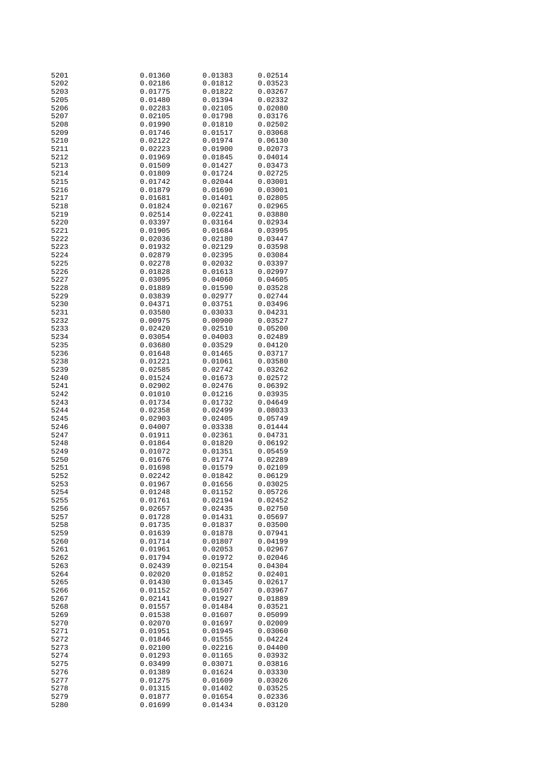| 5201         | 0.01360            | 0.01383            | 0.02514            |
|--------------|--------------------|--------------------|--------------------|
| 5202         | 0.02186            | 0.01812            | 0.03523            |
| 5203         | 0.01775            | 0.01822            | 0.03267            |
|              |                    |                    |                    |
| 5205         | 0.01480            | 0.01394            | 0.02332            |
| 5206         | 0.02283            | 0.02105            | 0.02080            |
| 5207         | 0.02105            | 0.01798            | 0.03176            |
| 5208         | 0.01990            |                    |                    |
|              |                    | 0.01810            | 0.02502            |
| 5209         | 0.01746            | 0.01517            | 0.03068            |
| 5210         | 0.02122            | 0.01974            | 0.06130            |
| 5211         | 0.02223            | 0.01900            | 0.02073            |
|              |                    |                    |                    |
| 5212         | 0.01969            | 0.01845            | 0.04014            |
| 5213         | 0.01509            | 0.01427            | 0.03473            |
| 5214         | 0.01809            | 0.01724            | 0.02725            |
| 5215         | 0.01742            | 0.02044            | 0.03001            |
|              |                    |                    |                    |
| 5216         | 0.01879            | 0.01690            | 0.03001            |
| 5217         | 0.01681            | 0.01401            | 0.02805            |
| 5218         | 0.01824            | 0.02167            | 0.02965            |
| 5219         | 0.02514            | 0.02241            | 0.03880            |
|              |                    |                    |                    |
| 5220         | 0.03397            | 0.03164            | 0.02934            |
| 5221         | 0.01905            | 0.01684            | 0.03995            |
| 5222         | 0.02036            | 0.02180            | 0.03447            |
| 5223         | 0.01932            | 0.02129            | 0.03598            |
|              |                    | 0.02395            |                    |
| 5224         | 0.02879            |                    | 0.03084            |
| 5225         | 0.02278            | 0.02032            | 0.03397            |
| 5226         | 0.01828            | 0.01613            | 0.02997            |
| 5227         | 0.03095            | 0.04060            | 0.04605            |
| 5228         |                    |                    | 0.03528            |
|              | 0.01889            | 0.01590            |                    |
| 5229         | 0.03839            | 0.02977            | 0.02744            |
| 5230         | 0.04371            | 0.03751            | 0.03496            |
| 5231         | 0.03580            | 0.03033            | 0.04231            |
| 5232         |                    | 0.00900            | 0.03527            |
|              | 0.00975            |                    |                    |
| 5233         | 0.02420            | 0.02510            | 0.05200            |
| 5234         | 0.03054            | 0.04003            | 0.02489            |
| 5235         | 0.03680            | 0.03529            | 0.04120            |
| 5236         | 0.01648            | 0.01465            | 0.03717            |
|              |                    |                    |                    |
| 5238         | 0.01221            | 0.01061            | 0.03580            |
| 5239         | 0.02585            | 0.02742            | 0.03262            |
| 5240         | 0.01524            | 0.01673            | 0.02572            |
| 5241         | 0.02902            | 0.02476            | 0.06392            |
|              |                    |                    |                    |
| 5242         | 0.01010            | 0.01216            | 0.03935            |
| 5243         | 0.01734            | 0.01732            | 0.04649            |
| 5244         | 0.02358            | 0.02499            | 0.08033            |
| 5245         | 0.02903            | 0.02405            | 0.05749            |
|              |                    |                    |                    |
| 5246         | 0.04007            | 0.03338            | 0.01444            |
| 5247         | 0.01911            | 0.02361            | 0.04731            |
| 5248         | 0.01864            | 0.01820            | 0.06192            |
| 5249         | 0.01072            | 0.01351            | 0.05459            |
|              |                    |                    |                    |
| 5250         | 0.01676            | 0.01774            | 0.02289            |
| 5251         | 0.01698            | 0.01579            | 0.02109            |
| 5252         | 0.02242            | 0.01842            | 0.06129            |
| 5253         | 0.01967            | 0.01656            | 0.03025            |
|              |                    |                    |                    |
| 5254         | 0.01248            | 0.01152            | 0.05726            |
| 5255         | 0.01761            | 0.02194            | 0.02452            |
| 5256         | 0.02657            | 0.02435            | 0.02750            |
| 5257         | 0.01728            | 0.01431            | 0.05697            |
| 5258         | 0.01735            | 0.01837            | 0.03500            |
|              |                    |                    |                    |
| 5259         | 0.01639            | 0.01878            | 0.07941            |
| 5260         | 0.01714            | 0.01807            | 0.04199            |
| 5261         | 0.01961            | 0.02053            | 0.02967            |
| 5262         | 0.01794            | 0.01972            | 0.02046            |
|              |                    |                    |                    |
| 5263         | 0.02439            | 0.02154            | 0.04304            |
| 5264         | 0.02020            | 0.01852            | 0.02401            |
| 5265         | 0.01430            | 0.01345            | 0.02617            |
| 5266         | 0.01152            | 0.01507            | 0.03967            |
|              |                    |                    |                    |
| 5267         | 0.02141            | 0.01927            | 0.01889            |
| 5268         | 0.01557            | 0.01484            | 0.03521            |
| 5269         | 0.01538            | 0.01607            | 0.05099            |
| 5270         | 0.02070            | 0.01697            | 0.02009            |
|              |                    |                    |                    |
| 5271         | 0.01951            | 0.01945            | 0.03060            |
| 5272         | 0.01846            | 0.01555            | 0.04224            |
| 5273         | 0.02100            | 0.02216            | 0.04400            |
| 5274         |                    | 0.01165            | 0.03932            |
|              |                    |                    |                    |
|              | 0.01293            |                    |                    |
| 5275         | 0.03499            | 0.03071            | 0.03816            |
| 5276         | 0.01389            | 0.01624            | 0.03330            |
| 5277         | 0.01275            | 0.01609            | 0.03026            |
|              |                    |                    |                    |
| 5278         | 0.01315            | 0.01402            | 0.03525            |
| 5279<br>5280 | 0.01877<br>0.01699 | 0.01654<br>0.01434 | 0.02336<br>0.03120 |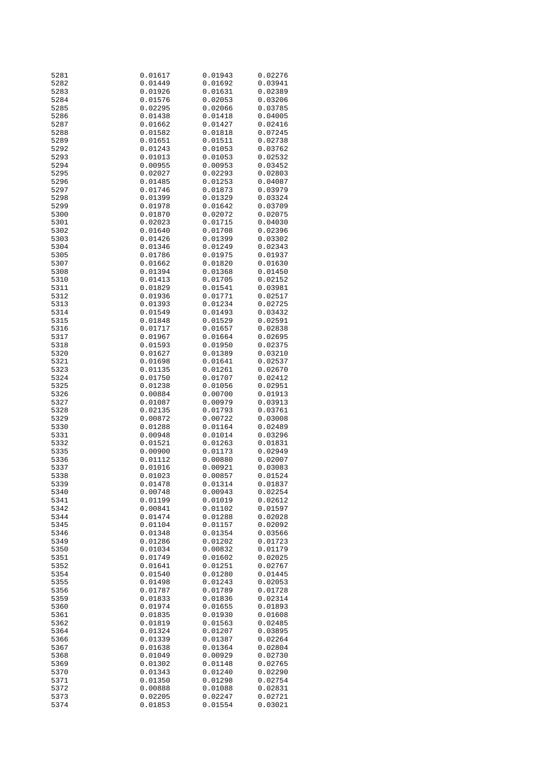| 5281         | 0.01617            | 0.01943            | 0.02276            |
|--------------|--------------------|--------------------|--------------------|
| 5282         | 0.01449            | 0.01692            | 0.03941            |
| 5283         | 0.01926            | 0.01631            | 0.02389            |
|              |                    |                    |                    |
| 5284         | 0.01576            | 0.02053            | 0.03206            |
| 5285         | 0.02295            | 0.02066            | 0.03785            |
| 5286         | 0.01438            | 0.01418            | 0.04005            |
| 5287         | 0.01662            | 0.01427            | 0.02416            |
|              |                    |                    |                    |
| 5288         | 0.01582            | 0.01818            | 0.07245            |
| 5289         | 0.01651            | 0.01511            | 0.02738            |
| 5292         | 0.01243            | 0.01053            | 0.03762            |
|              |                    |                    |                    |
| 5293         | 0.01013            | 0.01053            | 0.02532            |
| 5294         | 0.00955            | 0.00953            | 0.03452            |
| 5295         | 0.02027            | 0.02293            | 0.02803            |
| 5296         | 0.01485            | 0.01253            | 0.04087            |
|              |                    |                    |                    |
| 5297         | 0.01746            | 0.01873            | 0.03979            |
| 5298         | 0.01399            | 0.01329            | 0.03324            |
| 5299         | 0.01978            | 0.01642            | 0.03709            |
| 5300         | 0.01870            | 0.02072            | 0.02075            |
|              |                    |                    |                    |
| 5301         | 0.02023            | 0.01715            | 0.04030            |
| 5302         | 0.01640            | 0.01708            | 0.02396            |
| 5303         | 0.01426            | 0.01399            | 0.03302            |
| 5304         | 0.01346            | 0.01249            | 0.02343            |
|              |                    |                    |                    |
| 5305         | 0.01786            | 0.01975            | 0.01937            |
| 5307         | 0.01662            | 0.01820            | 0.01630            |
| 5308         | 0.01394            | 0.01368            | 0.01450            |
| 5310         | 0.01413            | 0.01705            | 0.02152            |
|              |                    |                    |                    |
| 5311         | 0.01829            | 0.01541            | 0.03981            |
| 5312         | 0.01936            | 0.01771            | 0.02517            |
| 5313         | 0.01393            | 0.01234            | 0.02725            |
| 5314         | 0.01549            | 0.01493            | 0.03432            |
|              |                    |                    |                    |
| 5315         | 0.01848            | 0.01529            | 0.02591            |
| 5316         | 0.01717            | 0.01657            | 0.02838            |
| 5317         | 0.01967            | 0.01664            | 0.02695            |
| 5318         | 0.01593            | 0.01950            | 0.02375            |
|              |                    |                    |                    |
| 5320         | 0.01627            | 0.01389            | 0.03210            |
| 5321         | 0.01698            | 0.01641            | 0.02537            |
| 5323         | 0.01135            | 0.01261            | 0.02670            |
| 5324         | 0.01750            | 0.01707            | 0.02412            |
|              |                    |                    |                    |
| 5325         | 0.01238            | 0.01056            | 0.02951            |
| 5326         | 0.00884            | 0.00700            | 0.01913            |
| 5327         | 0.01087            | 0.00979            | 0.03913            |
| 5328         |                    |                    |                    |
|              | 0.02135            | 0.01793            | 0.03761            |
| 5329         | 0.00872            | 0.00722            | 0.03008            |
| 5330         | 0.01288            | 0.01164            | 0.02489            |
| 5331         | 0.00948            | 0.01014            | 0.03296            |
| 5332         | 0.01521            | 0.01263            |                    |
|              |                    |                    | 0.01831            |
| 5335         | 0.00900            | 0.01173            | 0.02949            |
| 5336         | 0.01112            | 0.00880            | 0.02007            |
| 5337         | 0.01016            | 0.00921            | 0.03083            |
| 5338         | 0.01023            | 0.00857            | 0.01524            |
|              |                    |                    |                    |
| 5339         | 0.01478            | 0.01314            | 0.01837            |
| 5340         | 0.00748            | 0.00943            | 0.02254            |
| 5341         | 0.01199            | 0.01019            | 0.02612            |
| 5342         | 0.00841            | 0.01102            | 0.01597            |
|              |                    |                    |                    |
| 5344         | 0.01474            | 0.01288            | 0.02028            |
| 5345         | 0.01104            | 0.01157            | 0.02092            |
| 5346         | 0.01348            | 0.01354            | 0.03566            |
| 5349         | 0.01286            | 0.01202            | 0.01723            |
|              |                    | 0.00832            |                    |
| 5350         | 0.01034            |                    | 0.01179            |
| 5351         | 0.01749            | 0.01602            | 0.02025            |
| 5352         | 0.01641            | 0.01251            | 0.02767            |
| 5354         | 0.01540            | 0.01280            | 0.01445            |
|              |                    |                    |                    |
| 5355         | 0.01498            | 0.01243            | 0.02053            |
| 5356         | 0.01787            | 0.01789            | 0.01728            |
| 5359         | 0.01833            | 0.01836            | 0.02314            |
| 5360         | 0.01974            | 0.01655            | 0.01893            |
|              |                    |                    |                    |
| 5361         | 0.01835            | 0.01930            | 0.01608            |
| 5362         | 0.01819            | 0.01563            | 0.02485            |
| 5364         | 0.01324            | 0.01207            | 0.03895            |
| 5366         | 0.01339            | 0.01387            | 0.02264            |
|              |                    |                    |                    |
| 5367         | 0.01638            | 0.01364            | 0.02804            |
| 5368         | 0.01049            | 0.00929            | 0.02730            |
| 5369         | 0.01302            | 0.01148            | 0.02765            |
| 5370         | 0.01343            | 0.01240            | 0.02290            |
|              |                    |                    |                    |
| 5371         | 0.01350            | 0.01298            | 0.02754            |
| 5372         |                    |                    |                    |
|              | 0.00888            | 0.01088            | 0.02831            |
|              |                    |                    |                    |
| 5373<br>5374 | 0.02205<br>0.01853 | 0.02247<br>0.01554 | 0.02721<br>0.03021 |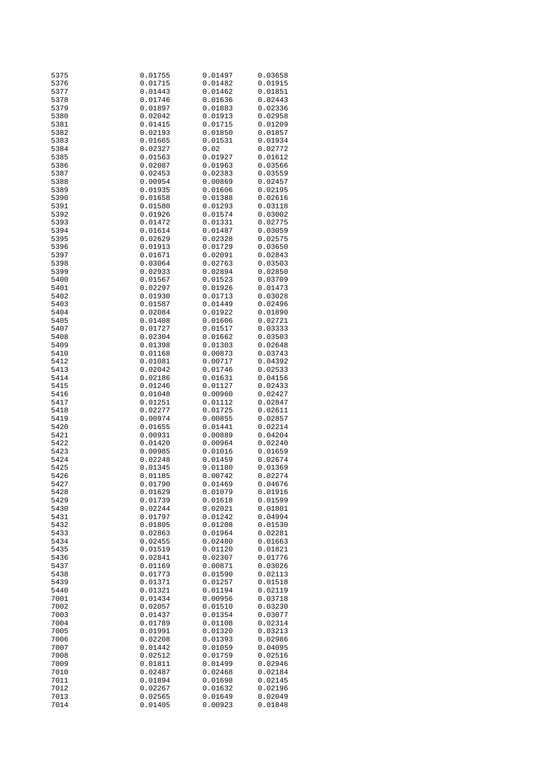| 5375 | 0.01755 | 0.01497 | 0.03658 |
|------|---------|---------|---------|
| 5376 | 0.01715 | 0.01482 | 0.01915 |
| 5377 | 0.01443 | 0.01462 | 0.01851 |
|      |         |         |         |
| 5378 | 0.01746 | 0.01636 | 0.02443 |
| 5379 | 0.01897 | 0.01883 | 0.02336 |
| 5380 | 0.02042 | 0.01913 | 0.02958 |
|      |         |         |         |
| 5381 | 0.01415 | 0.01715 | 0.01209 |
| 5382 | 0.02193 | 0.01850 | 0.01857 |
| 5383 | 0.01665 | 0.01531 | 0.01934 |
|      |         |         |         |
| 5384 | 0.02327 | 0.02    | 0.02772 |
| 5385 | 0.01563 | 0.01927 | 0.01612 |
| 5386 | 0.02087 | 0.01963 | 0.03566 |
|      | 0.02453 |         |         |
| 5387 |         | 0.02383 | 0.03559 |
| 5388 | 0.00954 | 0.00869 | 0.02457 |
| 5389 | 0.01935 | 0.01606 | 0.02195 |
| 5390 | 0.01658 | 0.01388 | 0.02616 |
|      |         |         |         |
| 5391 | 0.01580 | 0.01293 | 0.03118 |
| 5392 | 0.01926 | 0.01574 | 0.03002 |
| 5393 | 0.01472 | 0.01331 | 0.02775 |
|      |         |         |         |
| 5394 | 0.01614 | 0.01487 | 0.03059 |
| 5395 | 0.02629 | 0.02328 | 0.02575 |
| 5396 | 0.01913 | 0.01729 | 0.03650 |
|      |         |         |         |
| 5397 | 0.01671 | 0.02091 | 0.02843 |
| 5398 | 0.03064 | 0.02763 | 0.03503 |
| 5399 | 0.02933 | 0.02894 | 0.02850 |
|      |         |         |         |
| 5400 | 0.01567 | 0.01523 | 0.03709 |
| 5401 | 0.02297 | 0.01926 | 0.01473 |
| 5402 | 0.01930 | 0.01713 | 0.03028 |
|      |         |         |         |
| 5403 | 0.01587 | 0.01449 | 0.02496 |
| 5404 | 0.02084 | 0.01922 | 0.01890 |
| 5405 | 0.01408 | 0.01606 | 0.02721 |
|      |         | 0.01517 |         |
| 5407 | 0.01727 |         | 0.03333 |
| 5408 | 0.02304 | 0.01662 | 0.03503 |
| 5409 | 0.01398 | 0.01303 | 0.02648 |
| 5410 | 0.01168 | 0.00873 | 0.03743 |
|      |         |         |         |
| 5412 | 0.01081 | 0.00717 | 0.04392 |
| 5413 | 0.02042 | 0.01746 | 0.02533 |
| 5414 | 0.02186 | 0.01631 | 0.04156 |
|      |         |         |         |
| 5415 | 0.01246 | 0.01127 | 0.02433 |
| 5416 | 0.01048 | 0.00960 | 0.02427 |
| 5417 | 0.01251 | 0.01112 | 0.02847 |
|      |         |         |         |
| 5418 | 0.02277 | 0.01725 | 0.02611 |
| 5419 | 0.00974 | 0.00855 | 0.02857 |
| 5420 | 0.01655 | 0.01441 | 0.02214 |
| 5421 |         |         |         |
|      | 0.00931 | 0.00889 | 0.04204 |
| 5422 | 0.01420 | 0.00964 | 0.02240 |
| 5423 | 0.00985 | 0.01016 | 0.01659 |
| 5424 | 0.02248 | 0.01459 | 0.02674 |
|      |         |         |         |
| 5425 | 0.01345 | 0.01180 | 0.01369 |
| 5426 | 0.01185 | 0.00742 | 0.02274 |
| 5427 | 0.01790 | 0.01469 | 0.04676 |
|      |         |         |         |
| 5428 | 0.01629 | 0.01079 | 0.01916 |
| 5429 | 0.01739 | 0.01618 | 0.01599 |
| 5430 | 0.02244 | 0.02021 | 0.01801 |
|      |         |         |         |
| 5431 | 0.01797 | 0.01242 | 0.04994 |
| 5432 | 0.01805 | 0.01208 | 0.01530 |
| 5433 | 0.02863 | 0.01964 | 0.02281 |
| 5434 | 0.02455 | 0.02480 | 0.01663 |
|      |         |         |         |
| 5435 | 0.01519 | 0.01120 | 0.01821 |
| 5436 | 0.02841 | 0.02307 | 0.01776 |
| 5437 | 0.01169 | 0.00871 | 0.03026 |
|      |         |         |         |
| 5438 | 0.01773 | 0.01590 | 0.02113 |
| 5439 | 0.01371 | 0.01257 | 0.01518 |
| 5440 | 0.01321 | 0.01194 | 0.02119 |
|      |         |         |         |
| 7001 | 0.01434 | 0.00956 | 0.03718 |
| 7002 | 0.02057 | 0.01510 | 0.03230 |
| 7003 | 0.01437 | 0.01354 | 0.03077 |
| 7004 | 0.01789 | 0.01108 | 0.02314 |
|      |         |         |         |
| 7005 | 0.01991 | 0.01320 | 0.03213 |
| 7006 | 0.02208 | 0.01393 | 0.02986 |
| 7007 | 0.01442 | 0.01059 | 0.04095 |
|      |         |         |         |
| 7008 | 0.02512 | 0.01759 | 0.02516 |
| 7009 | 0.01811 | 0.01499 | 0.02946 |
| 7010 | 0.02487 | 0.02468 | 0.02184 |
|      |         |         |         |
| 7011 | 0.01894 | 0.01698 | 0.02145 |
| 7012 | 0.02267 | 0.01632 | 0.02196 |
| 7013 | 0.02565 | 0.01649 | 0.02049 |
|      |         |         |         |
| 7014 | 0.01405 | 0.00923 | 0.01848 |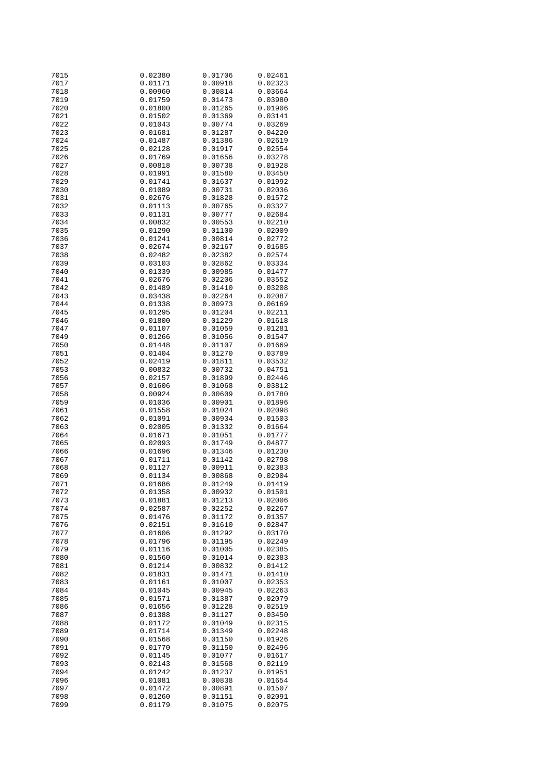| 7015 | 0.02380 | 0.01706 | 0.02461 |
|------|---------|---------|---------|
| 7017 | 0.01171 | 0.00918 | 0.02323 |
| 7018 | 0.00960 | 0.00814 | 0.03664 |
|      |         |         |         |
| 7019 | 0.01759 | 0.01473 | 0.03980 |
| 7020 | 0.01800 | 0.01265 | 0.01906 |
| 7021 | 0.01502 | 0.01369 | 0.03141 |
|      |         |         |         |
| 7022 | 0.01043 | 0.00774 | 0.03269 |
| 7023 | 0.01681 | 0.01287 | 0.04220 |
| 7024 | 0.01487 | 0.01386 | 0.02619 |
| 7025 |         |         |         |
|      | 0.02128 | 0.01917 | 0.02554 |
| 7026 | 0.01769 | 0.01656 | 0.03278 |
| 7027 | 0.00818 | 0.00738 | 0.01928 |
| 7028 | 0.01991 | 0.01580 | 0.03450 |
|      |         |         |         |
| 7029 | 0.01741 | 0.01637 | 0.01992 |
| 7030 | 0.01089 | 0.00731 | 0.02036 |
| 7031 | 0.02676 | 0.01828 | 0.01572 |
|      |         |         |         |
| 7032 | 0.01113 | 0.00765 | 0.03327 |
| 7033 | 0.01131 | 0.00777 | 0.02684 |
| 7034 | 0.00832 | 0.00553 | 0.02210 |
|      |         |         |         |
| 7035 | 0.01290 | 0.01100 | 0.02009 |
| 7036 | 0.01241 | 0.00814 | 0.02772 |
| 7037 | 0.02674 | 0.02167 | 0.01685 |
| 7038 | 0.02482 | 0.02382 | 0.02574 |
|      |         |         |         |
| 7039 | 0.03103 | 0.02862 | 0.03334 |
| 7040 | 0.01339 | 0.00985 | 0.01477 |
| 7041 | 0.02676 | 0.02206 | 0.03552 |
|      |         |         |         |
| 7042 | 0.01489 | 0.01410 | 0.03208 |
| 7043 | 0.03438 | 0.02264 | 0.02087 |
| 7044 | 0.01338 | 0.00973 | 0.06169 |
|      |         |         |         |
| 7045 | 0.01295 | 0.01204 | 0.02211 |
| 7046 | 0.01800 | 0.01229 | 0.01618 |
| 7047 | 0.01107 | 0.01059 | 0.01281 |
|      |         |         |         |
| 7049 | 0.01266 | 0.01056 | 0.01547 |
| 7050 | 0.01448 | 0.01107 | 0.01669 |
| 7051 | 0.01404 | 0.01270 | 0.03789 |
| 7052 | 0.02419 | 0.01811 | 0.03532 |
|      |         |         |         |
| 7053 | 0.00832 | 0.00732 | 0.04751 |
| 7056 | 0.02157 | 0.01899 | 0.02446 |
| 7057 | 0.01606 | 0.01068 | 0.03812 |
|      |         |         |         |
| 7058 | 0.00924 | 0.00609 | 0.01780 |
| 7059 | 0.01036 | 0.00901 | 0.01896 |
| 7061 | 0.01558 | 0.01024 | 0.02098 |
|      |         |         |         |
| 7062 | 0.01091 | 0.00934 | 0.01503 |
| 7063 | 0.02005 | 0.01332 | 0.01664 |
| 7064 | 0.01671 | 0.01051 | 0.01777 |
| 7065 | 0.02093 | 0.01749 | 0.04877 |
|      |         |         |         |
| 7066 | 0.01696 | 0.01346 | 0.01230 |
| 7067 | 0.01711 | 0.01142 | 0.02798 |
| 7068 | 0.01127 | 0.00911 | 0.02383 |
|      |         |         |         |
| 7069 | 0.01134 | 0.00868 | 0.02904 |
| 7071 | 0.01686 | 0.01249 | 0.01419 |
| 7072 | 0.01358 | 0.00932 | 0.01501 |
|      |         |         |         |
| 7073 | 0.01881 | 0.01213 | 0.02006 |
| 7074 | 0.02587 | 0.02252 | 0.02267 |
| 7075 | 0.01476 | 0.01172 | 0.01357 |
|      | 0.02151 |         |         |
| 7076 |         | 0.01610 | 0.02847 |
| 7077 | 0.01606 | 0.01292 | 0.03170 |
| 7078 | 0.01796 | 0.01195 | 0.02249 |
| 7079 | 0.01116 | 0.01005 | 0.02385 |
|      |         |         |         |
| 7080 | 0.01560 | 0.01014 | 0.02383 |
| 7081 | 0.01214 | 0.00832 | 0.01412 |
| 7082 | 0.01831 | 0.01471 | 0.01410 |
|      |         |         |         |
| 7083 | 0.01161 | 0.01007 | 0.02353 |
| 7084 | 0.01045 | 0.00945 | 0.02263 |
| 7085 | 0.01571 | 0.01387 | 0.02079 |
|      |         |         |         |
| 7086 | 0.01656 | 0.01228 | 0.02519 |
| 7087 | 0.01388 | 0.01127 | 0.03450 |
| 7088 | 0.01172 | 0.01049 | 0.02315 |
|      |         |         |         |
| 7089 | 0.01714 | 0.01349 | 0.02248 |
| 7090 | 0.01568 | 0.01150 | 0.01926 |
| 7091 | 0.01770 | 0.01150 | 0.02496 |
| 7092 |         |         |         |
|      | 0.01145 | 0.01077 | 0.01617 |
| 7093 | 0.02143 | 0.01568 | 0.02119 |
| 7094 | 0.01242 | 0.01237 | 0.01951 |
| 7096 | 0.01081 | 0.00838 | 0.01654 |
|      |         |         |         |
| 7097 | 0.01472 | 0.00891 | 0.01507 |
| 7098 | 0.01260 | 0.01151 | 0.02091 |
| 7099 | 0.01179 | 0.01075 | 0.02075 |
|      |         |         |         |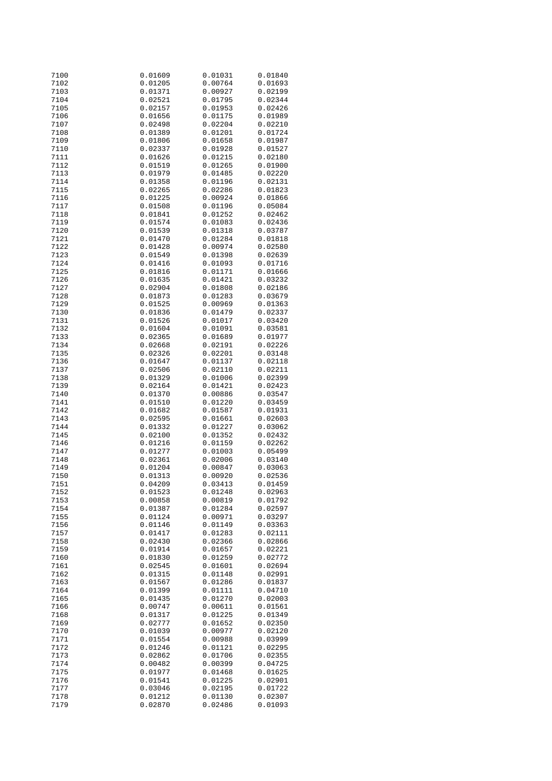| 7100 | 0.01609 | 0.01031 | 0.01840 |
|------|---------|---------|---------|
| 7102 | 0.01205 | 0.00764 | 0.01693 |
| 7103 |         |         |         |
|      | 0.01371 | 0.00927 | 0.02199 |
| 7104 | 0.02521 | 0.01795 | 0.02344 |
| 7105 | 0.02157 | 0.01953 | 0.02426 |
|      |         |         |         |
| 7106 | 0.01656 | 0.01175 | 0.01989 |
| 7107 | 0.02498 | 0.02204 | 0.02210 |
| 7108 | 0.01389 | 0.01201 | 0.01724 |
|      |         |         |         |
| 7109 | 0.01806 | 0.01658 | 0.01987 |
| 7110 | 0.02337 | 0.01928 | 0.01527 |
| 7111 | 0.01626 | 0.01215 | 0.02180 |
|      |         |         |         |
| 7112 | 0.01519 | 0.01265 | 0.01900 |
| 7113 | 0.01979 | 0.01485 | 0.02220 |
| 7114 | 0.01358 | 0.01196 | 0.02131 |
|      |         |         |         |
| 7115 | 0.02265 | 0.02286 | 0.01823 |
| 7116 | 0.01225 | 0.00924 | 0.01866 |
| 7117 | 0.01508 | 0.01196 | 0.05084 |
|      |         |         |         |
| 7118 | 0.01841 | 0.01252 | 0.02462 |
| 7119 | 0.01574 | 0.01083 | 0.02436 |
| 7120 | 0.01539 | 0.01318 | 0.03787 |
| 7121 |         | 0.01284 |         |
|      | 0.01470 |         | 0.01818 |
| 7122 | 0.01428 | 0.00974 | 0.02580 |
| 7123 | 0.01549 | 0.01398 | 0.02639 |
| 7124 | 0.01416 | 0.01093 | 0.01716 |
|      |         |         |         |
| 7125 | 0.01816 | 0.01171 | 0.01666 |
| 7126 | 0.01635 | 0.01421 | 0.03232 |
| 7127 | 0.02904 | 0.01808 | 0.02186 |
|      |         |         |         |
| 7128 | 0.01873 | 0.01283 | 0.03679 |
| 7129 | 0.01525 | 0.00969 | 0.01363 |
| 7130 | 0.01836 | 0.01479 | 0.02337 |
|      |         |         |         |
| 7131 | 0.01526 | 0.01017 | 0.03420 |
| 7132 | 0.01604 | 0.01091 | 0.03581 |
| 7133 | 0.02365 | 0.01689 | 0.01977 |
| 7134 | 0.02668 | 0.02191 |         |
|      |         |         | 0.02226 |
| 7135 | 0.02326 | 0.02201 | 0.03148 |
| 7136 | 0.01647 | 0.01137 | 0.02118 |
| 7137 | 0.02506 | 0.02110 | 0.02211 |
|      |         |         |         |
| 7138 | 0.01329 | 0.01006 | 0.02399 |
| 7139 | 0.02164 | 0.01421 | 0.02423 |
| 7140 | 0.01370 | 0.00886 | 0.03547 |
|      |         |         |         |
| 7141 | 0.01510 | 0.01220 | 0.03459 |
| 7142 | 0.01682 | 0.01587 | 0.01931 |
| 7143 | 0.02595 | 0.01661 | 0.02603 |
| 7144 | 0.01332 | 0.01227 | 0.03062 |
|      |         |         |         |
| 7145 | 0.02100 | 0.01352 | 0.02432 |
| 7146 | 0.01216 | 0.01159 | 0.02262 |
| 7147 | 0.01277 | 0.01003 | 0.05499 |
|      |         |         |         |
| 7148 | 0.02361 | 0.02006 | 0.03140 |
| 7149 | 0.01204 | 0.00847 | 0.03063 |
| 7150 | 0.01313 | 0.00920 | 0.02536 |
|      |         |         |         |
| 7151 | 0.04209 | 0.03413 | 0.01459 |
| 7152 | 0.01523 | 0.01248 | 0.02963 |
| 7153 | 0.00858 | 0.00819 | 0.01792 |
| 7154 | 0.01387 | 0.01284 | 0.02597 |
|      |         |         |         |
| 7155 | 0.01124 | 0.00971 | 0.03297 |
| 7156 | 0.01146 | 0.01149 | 0.03363 |
| 7157 | 0.01417 | 0.01283 | 0.02111 |
| 7158 | 0.02430 | 0.02366 | 0.02866 |
|      |         |         |         |
| 7159 | 0.01914 | 0.01657 | 0.02221 |
| 7160 | 0.01830 | 0.01259 | 0.02772 |
| 7161 | 0.02545 | 0.01601 | 0.02694 |
|      |         |         |         |
| 7162 | 0.01315 | 0.01148 | 0.02991 |
| 7163 | 0.01567 | 0.01286 | 0.01837 |
| 7164 | 0.01399 | 0.01111 | 0.04710 |
|      |         |         |         |
| 7165 | 0.01435 | 0.01270 | 0.02003 |
| 7166 | 0.00747 | 0.00611 | 0.01561 |
| 7168 | 0.01317 | 0.01225 | 0.01349 |
|      |         | 0.01652 |         |
| 7169 | 0.02777 |         | 0.02350 |
| 7170 | 0.01039 | 0.00977 | 0.02120 |
| 7171 | 0.01554 | 0.00988 | 0.03999 |
| 7172 | 0.01246 | 0.01121 | 0.02295 |
|      |         |         |         |
| 7173 | 0.02862 | 0.01706 | 0.02355 |
| 7174 | 0.00482 | 0.00399 | 0.04725 |
| 7175 | 0.01977 | 0.01468 | 0.01625 |
|      |         |         |         |
| 7176 | 0.01541 | 0.01225 | 0.02901 |
| 7177 | 0.03046 | 0.02195 | 0.01722 |
| 7178 | 0.01212 | 0.01130 | 0.02307 |
| 7179 | 0.02870 | 0.02486 | 0.01093 |
|      |         |         |         |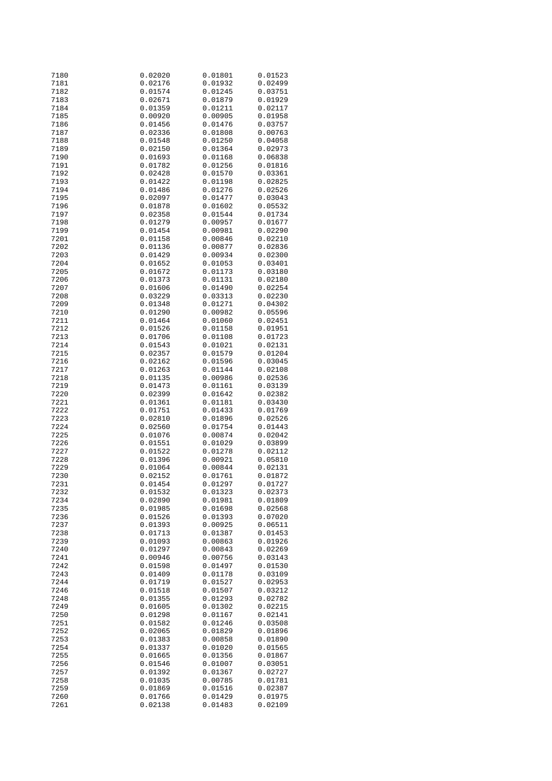| 7180         | 0.02020            | 0.01801            | 0.01523            |
|--------------|--------------------|--------------------|--------------------|
| 7181         | 0.02176            | 0.01932            | 0.02499            |
| 7182         | 0.01574            | 0.01245            | 0.03751            |
|              |                    |                    |                    |
| 7183         | 0.02671            | 0.01879            | 0.01929            |
| 7184         | 0.01359            | 0.01211            | 0.02117            |
| 7185         | 0.00920            | 0.00905            | 0.01958            |
| 7186         | 0.01456            | 0.01476            | 0.03757            |
|              |                    |                    |                    |
| 7187         | 0.02336            | 0.01808            | 0.00763            |
| 7188         | 0.01548            | 0.01250            | 0.04058            |
| 7189         | 0.02150            | 0.01364            | 0.02973            |
| 7190         | 0.01693            | 0.01168            | 0.06838            |
|              |                    |                    |                    |
| 7191         | 0.01782            | 0.01256            | 0.01816            |
| 7192         | 0.02428            | 0.01570            | 0.03361            |
| 7193         | 0.01422            | 0.01198            | 0.02825            |
| 7194         | 0.01486            | 0.01276            | 0.02526            |
|              |                    |                    |                    |
| 7195         | 0.02097            | 0.01477            | 0.03043            |
| 7196         | 0.01878            | 0.01602            | 0.05532            |
| 7197         | 0.02358            | 0.01544            | 0.01734            |
| 7198         | 0.01279            | 0.00957            | 0.01677            |
|              |                    |                    |                    |
| 7199         | 0.01454            | 0.00981            | 0.02290            |
| 7201         | 0.01158            | 0.00846            | 0.02210            |
| 7202         | 0.01136            | 0.00877            | 0.02836            |
| 7203         | 0.01429            | 0.00934            | 0.02300            |
|              |                    |                    |                    |
| 7204         | 0.01652            | 0.01053            | 0.03401            |
| 7205         | 0.01672            | 0.01173            | 0.03180            |
| 7206         | 0.01373            | 0.01131            | 0.02180            |
| 7207         | 0.01606            | 0.01490            | 0.02254            |
|              |                    |                    |                    |
| 7208         | 0.03229            | 0.03313            | 0.02230            |
| 7209         | 0.01348            | 0.01271            | 0.04302            |
| 7210         | 0.01290            | 0.00982            | 0.05596            |
| 7211         | 0.01464            | 0.01060            | 0.02451            |
|              |                    |                    |                    |
| 7212         | 0.01526            | 0.01158            | 0.01951            |
| 7213         | 0.01706            | 0.01108            | 0.01723            |
| 7214         | 0.01543            | 0.01021            | 0.02131            |
| 7215         | 0.02357            | 0.01579            | 0.01204            |
|              |                    |                    |                    |
| 7216         | 0.02162            | 0.01596            | 0.03045            |
| 7217         | 0.01263            | 0.01144            | 0.02108            |
| 7218         | 0.01135            | 0.00986            | 0.02536            |
| 7219         | 0.01473            | 0.01161            | 0.03139            |
|              |                    |                    |                    |
| 7220         | 0.02399            | 0.01642            | 0.02382            |
| 7221         | 0.01361            | 0.01181            | 0.03430            |
| 7222         | 0.01751            | 0.01433            | 0.01769            |
| 7223         | 0.02810            | 0.01896            | 0.02526            |
|              |                    |                    |                    |
| 7224         | 0.02560            | 0.01754            | 0.01443            |
| 7225         | 0.01076            | 0.00874            | 0.02042            |
| 7226         | 0.01551            | 0.01029            | 0.03899            |
| 7227         | 0.01522            | 0.01278            | 0.02112            |
|              |                    | 0.00921            |                    |
| 7228         | 0.01396            |                    | 0.05810            |
| 7229         | 0.01064            | 0.00844            | 0.02131            |
| 7230         | 0.02152            | 0.01761            | 0.01872            |
| 7231         | 0.01454            | 0.01297            | 0.01727            |
| 7232         | 0.01532            | 0.01323            | 0.02373            |
|              |                    |                    |                    |
| 7234         | 0.02890            | 0.01981            | 0.01809            |
| 7235         | 0.01985            | 0.01698            | 0.02568            |
| 7236         | 0.01526            | 0.01393            | 0.07020            |
| 7237         | 0.01393            | 0.00925            | 0.06511            |
|              |                    |                    |                    |
| 7238         | 0.01713            | 0.01387            | 0.01453            |
| 7239         | 0.01093            | 0.00863            | 0.01926            |
| 7240         | 0.01297            | 0.00843            | 0.02269            |
| 7241         | 0.00946            | 0.00756            | 0.03143            |
|              |                    |                    |                    |
| 7242         | 0.01598            | 0.01497            | 0.01530            |
| 7243         | 0.01409            | 0.01178            | 0.03109            |
| 7244         | 0.01719            | 0.01527            | 0.02953            |
| 7246         | 0.01518            | 0.01507            | 0.03212            |
|              |                    |                    |                    |
| 7248         | 0.01355            | 0.01293            | 0.02782            |
| 7249         | 0.01605            | 0.01302            | 0.02215            |
| 7250         | 0.01298            | 0.01167            | 0.02141            |
| 7251         | 0.01582            | 0.01246            | 0.03508            |
|              |                    |                    |                    |
| 7252         | 0.02065            | 0.01829            | 0.01896            |
| 7253         | 0.01383            | 0.00858            | 0.01890            |
| 7254         | 0.01337            | 0.01020            | 0.01565            |
| 7255         | 0.01665            | 0.01356            | 0.01867            |
|              |                    |                    |                    |
| 7256         | 0.01546            | 0.01007            | 0.03051            |
| 7257         | 0.01392            | 0.01367            | 0.02727            |
| 7258         |                    |                    |                    |
|              | 0.01035            | 0.00785            | 0.01781            |
|              |                    |                    |                    |
| 7259         | 0.01869            | 0.01516            | 0.02387            |
| 7260<br>7261 | 0.01766<br>0.02138 | 0.01429<br>0.01483 | 0.01975<br>0.02109 |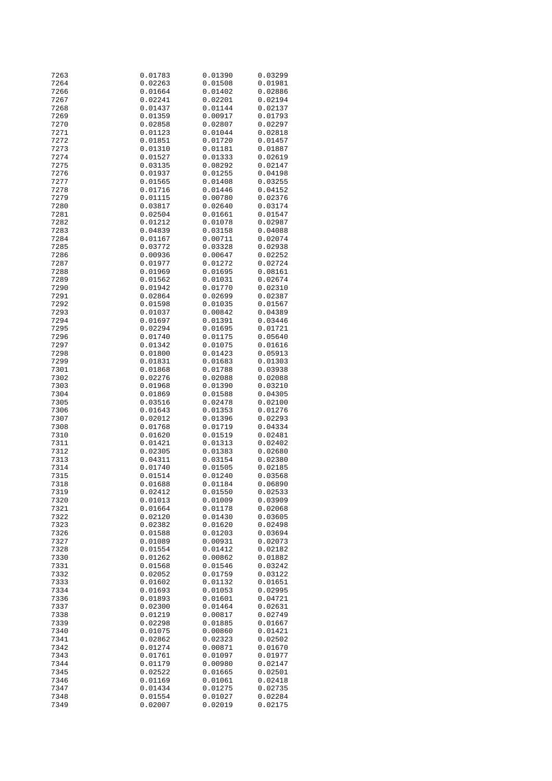| 7263         | 0.01783            | 0.01390            | 0.03299            |
|--------------|--------------------|--------------------|--------------------|
| 7264         | 0.02263            | 0.01508            | 0.01981            |
| 7266         | 0.01664            | 0.01402            | 0.02886            |
|              |                    |                    |                    |
| 7267         | 0.02241            | 0.02201            | 0.02194            |
| 7268         | 0.01437            | 0.01144            | 0.02137            |
| 7269         | 0.01359            | 0.00917            | 0.01793            |
| 7270         | 0.02858            | 0.02807            | 0.02297            |
| 7271         | 0.01123            | 0.01044            | 0.02818            |
|              |                    |                    |                    |
| 7272         | 0.01851            | 0.01720            | 0.01457            |
| 7273         | 0.01310            | 0.01181            | 0.01887            |
| 7274         | 0.01527            | 0.01333            | 0.02619            |
| 7275         | 0.03135            | 0.08292            | 0.02147            |
| 7276         | 0.01937            | 0.01255            | 0.04198            |
|              |                    |                    |                    |
| 7277         | 0.01565            | 0.01408            | 0.03255            |
| 7278         | 0.01716            | 0.01446            | 0.04152            |
| 7279         | 0.01115            | 0.00780            | 0.02376            |
| 7280         | 0.03817            | 0.02640            | 0.03174            |
| 7281         | 0.02504            | 0.01661            | 0.01547            |
|              |                    |                    |                    |
| 7282         | 0.01212            | 0.01078            | 0.02987            |
| 7283         | 0.04839            | 0.03158            | 0.04088            |
| 7284         | 0.01167            | 0.00711            | 0.02074            |
| 7285         | 0.03772            | 0.03328            | 0.02938            |
| 7286         | 0.00936            | 0.00647            | 0.02252            |
|              |                    |                    |                    |
| 7287         | 0.01977            | 0.01272            | 0.02724            |
| 7288         | 0.01969            | 0.01695            | 0.08161            |
| 7289         | 0.01562            | 0.01031            | 0.02674            |
| 7290         | 0.01942            | 0.01770            | 0.02310            |
| 7291         | 0.02864            | 0.02699            | 0.02387            |
|              |                    | 0.01035            |                    |
| 7292         | 0.01598            |                    | 0.01567            |
| 7293         | 0.01037            | 0.00842            | 0.04389            |
| 7294         | 0.01697            | 0.01391            | 0.03446            |
| 7295         | 0.02294            | 0.01695            | 0.01721            |
| 7296         | 0.01740            | 0.01175            | 0.05640            |
| 7297         | 0.01342            | 0.01075            | 0.01616            |
|              |                    |                    |                    |
| 7298         | 0.01800            | 0.01423            | 0.05913            |
| 7299         | 0.01831            | 0.01683            | 0.01303            |
| 7301         | 0.01868            | 0.01788            | 0.03938            |
| 7302         | 0.02276            | 0.02088            | 0.02088            |
| 7303         | 0.01968            | 0.01390            | 0.03210            |
|              |                    |                    |                    |
| 7304         | 0.01869            | 0.01588            | 0.04305            |
| 7305         | 0.03516            | 0.02478            | 0.02100            |
| 7306         | 0.01643            | 0.01353            | 0.01276            |
| 7307         | 0.02012            | 0.01396            | 0.02293            |
| 7308         | 0.01768            | 0.01719            | 0.04334            |
| 7310         | 0.01620            | 0.01519            | 0.02481            |
| 7311         | 0.01421            | 0.01313            | 0.02402            |
|              |                    |                    |                    |
| 7312         | 0.02305            | 0.01383            | 0.02680            |
| 7313         | 0.04311            | 0.03154            | 0.02380            |
| 7314         | 0.01740            | 0.01505            | 0.02185            |
| 7315         | 0.01514            | 0.01240            | 0.03568            |
| 7318         | 0.01688            | 0.01184            | 0.06890            |
| 7319         | 0.02412            | 0.01550            | 0.02533            |
|              |                    |                    |                    |
| 7320         | 0.01013            | 0.01009            | 0.03909            |
| 7321         | 0.01664            | 0.01178            | 0.02068            |
| 7322         | 0.02120            | 0.01430            | 0.03605            |
| 7323         | 0.02382            | 0.01620            | 0.02498            |
| 7326         | 0.01588            | 0.01203            | 0.03694            |
|              |                    |                    |                    |
| 7327         | 0.01089            | 0.00931            | 0.02073            |
| 7328         | 0.01554            | 0.01412            | 0.02182            |
| 7330         | 0.01262            | 0.00862            | 0.01882            |
| 7331         | 0.01568            | 0.01546            | 0.03242            |
| 7332         | 0.02052            | 0.01759            | 0.03122            |
| 7333         | 0.01602            | 0.01132            | 0.01651            |
|              |                    |                    |                    |
| 7334         | 0.01693            | 0.01053            | 0.02995            |
| 7336         | 0.01893            | 0.01601            | 0.04721            |
| 7337         | 0.02300            | 0.01464            | 0.02631            |
| 7338         | 0.01219            | 0.00817            | 0.02749            |
| 7339         | 0.02298            | 0.01885            | 0.01667            |
| 7340         | 0.01075            |                    |                    |
|              |                    | 0.00860            | 0.01421            |
| 7341         | 0.02862            | 0.02323            | 0.02502            |
| 7342         | 0.01274            | 0.00871            | 0.01670            |
| 7343         | 0.01761            | 0.01097            | 0.01977            |
| 7344         |                    | 0.00980            | 0.02147            |
|              |                    |                    |                    |
|              | 0.01179            |                    |                    |
| 7345         | 0.02522            | 0.01665            | 0.02501            |
| 7346         | 0.01169            | 0.01061            | 0.02418            |
| 7347         | 0.01434            | 0.01275            | 0.02735            |
| 7348<br>7349 | 0.01554<br>0.02007 | 0.01027<br>0.02019 | 0.02284<br>0.02175 |